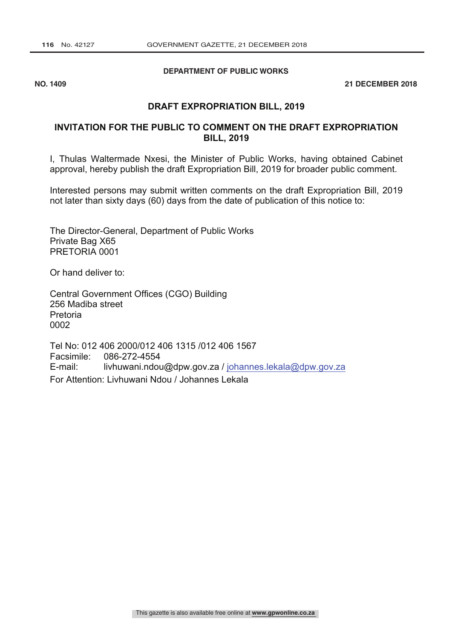#### **DEPARTMENT OF PUBLIC WORKS**

**NO. 1409 21 DECEMBER 2018**

#### **DRAFT EXPROPRIATION BILL, 2019**

#### **INVITATION FOR THE PUBLIC TO COMMENT ON THE DRAFT EXPROPRIATION BILL, 2019**

I, Thulas Waltermade Nxesi, the Minister of Public Works, having obtained Cabinet approval, hereby publish the draft Expropriation Bill, 2019 for broader public comment.

Interested persons may submit written comments on the draft Expropriation Bill, 2019 not later than sixty days (60) days from the date of publication of this notice to:

The Director-General, Department of Public Works Private Bag X65 PRETORIA 0001

Or hand deliver to:

Central Government Offices (CGO) Building 256 Madiba street Pretoria 0002

Tel No: 012 406 2000/012 406 1315 /012 406 1567 086-272-4554 E-mail: livhuwani.ndou@dpw.gov.za / johannes.lekala@dpw.gov.za For Attention: Livhuwani Ndou / Johannes Lekala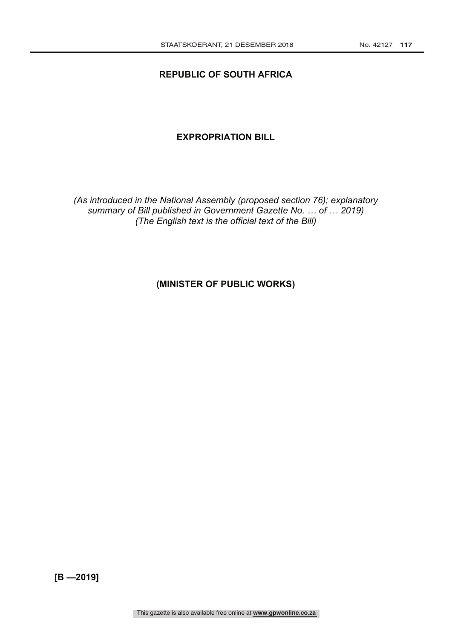## **REPUBLIC OF SOUTH AFRICA**

## **EXPROPRIATION BILL**

*(As introduced in the National Assembly (proposed section 76); explanatory summary of Bill published in Government Gazette No. … of … 2019) (The English text is the official text of the Bill)* 

**(MINISTER OF PUBLIC WORKS)** 

**[B —2019]**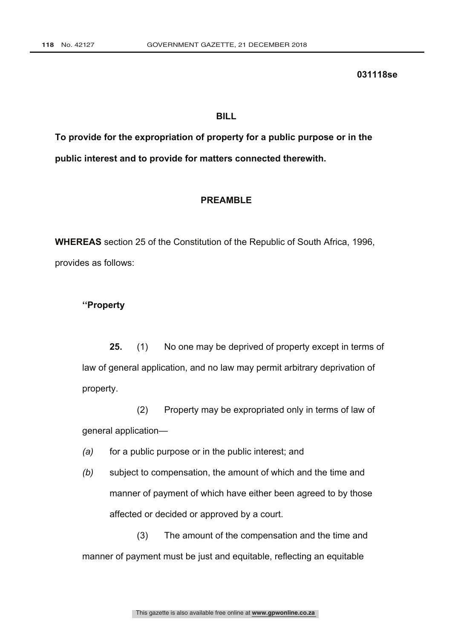**031118se** 

#### **BILL**

**To provide for the expropriation of property for a public purpose or in the public interest and to provide for matters connected therewith.**

#### **PREAMBLE**

**WHEREAS** section 25 of the Constitution of the Republic of South Africa, 1996, provides as follows:

#### **''Property**

**25.** (1) No one may be deprived of property except in terms of law of general application, and no law may permit arbitrary deprivation of property.

 (2) Property may be expropriated only in terms of law of general application—

- *(a)* for a public purpose or in the public interest; and
- *(b)* subject to compensation, the amount of which and the time and manner of payment of which have either been agreed to by those affected or decided or approved by a court.

 (3) The amount of the compensation and the time and manner of payment must be just and equitable, reflecting an equitable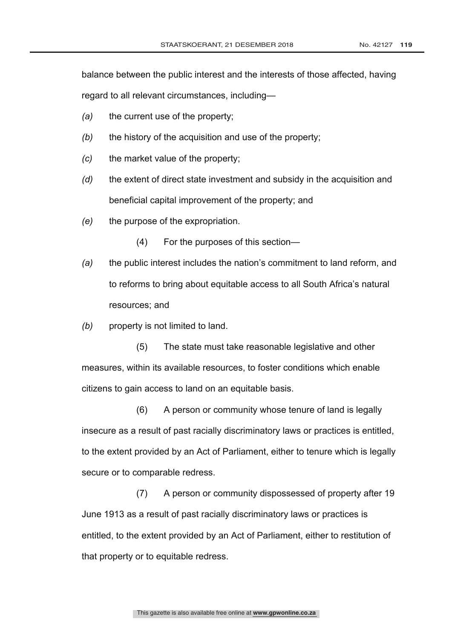balance between the public interest and the interests of those affected, having

regard to all relevant circumstances, including—

- *(a)* the current use of the property;
- *(b)* the history of the acquisition and use of the property;
- *(c)* the market value of the property;
- *(d)* the extent of direct state investment and subsidy in the acquisition and beneficial capital improvement of the property; and
- *(e)* the purpose of the expropriation.
	- (4) For the purposes of this section—
- *(a)* the public interest includes the nation's commitment to land reform, and to reforms to bring about equitable access to all South Africa's natural resources; and

*(b)* property is not limited to land.

 (5) The state must take reasonable legislative and other measures, within its available resources, to foster conditions which enable citizens to gain access to land on an equitable basis.

 (6) A person or community whose tenure of land is legally insecure as a result of past racially discriminatory laws or practices is entitled, to the extent provided by an Act of Parliament, either to tenure which is legally secure or to comparable redress.

 (7) A person or community dispossessed of property after 19 June 1913 as a result of past racially discriminatory laws or practices is entitled, to the extent provided by an Act of Parliament, either to restitution of that property or to equitable redress.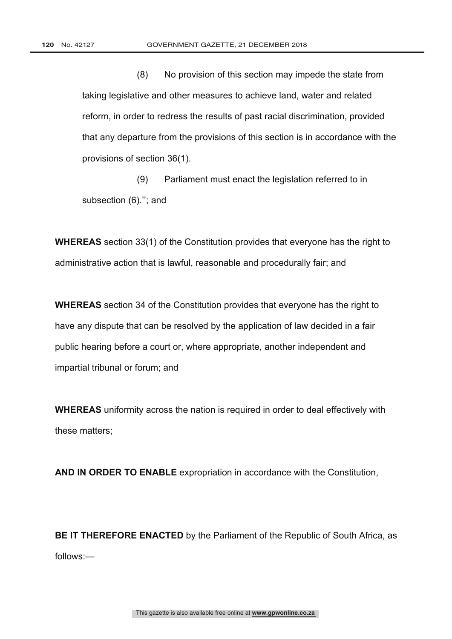(8) No provision of this section may impede the state from taking legislative and other measures to achieve land, water and related reform, in order to redress the results of past racial discrimination, provided that any departure from the provisions of this section is in accordance with the provisions of section 36(1).

 (9) Parliament must enact the legislation referred to in subsection (6).''; and

**WHEREAS** section 33(1) of the Constitution provides that everyone has the right to administrative action that is lawful, reasonable and procedurally fair; and

**WHEREAS** section 34 of the Constitution provides that everyone has the right to have any dispute that can be resolved by the application of law decided in a fair public hearing before a court or, where appropriate, another independent and impartial tribunal or forum; and

**WHEREAS** uniformity across the nation is required in order to deal effectively with these matters;

**AND IN ORDER TO ENABLE** expropriation in accordance with the Constitution,

**BE IT THEREFORE ENACTED** by the Parliament of the Republic of South Africa, as follows:—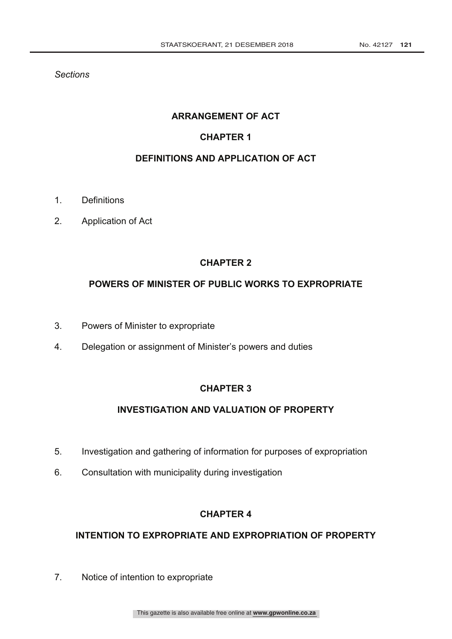*Sections* 

## **ARRANGEMENT OF ACT**

## **CHAPTER 1**

## **DEFINITIONS AND APPLICATION OF ACT**

- 1. Definitions
- 2. Application of Act

## **CHAPTER 2**

## **POWERS OF MINISTER OF PUBLIC WORKS TO EXPROPRIATE**

- 3. Powers of Minister to expropriate
- 4. Delegation or assignment of Minister's powers and duties

## **CHAPTER 3**

## **INVESTIGATION AND VALUATION OF PROPERTY**

- 5. Investigation and gathering of information for purposes of expropriation
- 6. Consultation with municipality during investigation

## **CHAPTER 4**

## **INTENTION TO EXPROPRIATE AND EXPROPRIATION OF PROPERTY**

7. Notice of intention to expropriate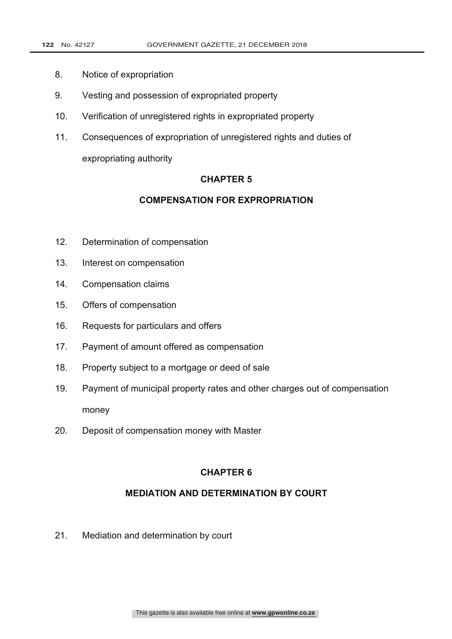- 8. Notice of expropriation
- 9. Vesting and possession of expropriated property
- 10. Verification of unregistered rights in expropriated property
- 11. Consequences of expropriation of unregistered rights and duties of expropriating authority

#### **CHAPTER 5**

## **COMPENSATION FOR EXPROPRIATION**

- 12. Determination of compensation
- 13. Interest on compensation
- 14. Compensation claims
- 15. Offers of compensation
- 16. Requests for particulars and offers
- 17. Payment of amount offered as compensation
- 18. Property subject to a mortgage or deed of sale
- 19. Payment of municipal property rates and other charges out of compensation money
- 20. Deposit of compensation money with Master

## **CHAPTER 6**

#### **MEDIATION AND DETERMINATION BY COURT**

21. Mediation and determination by court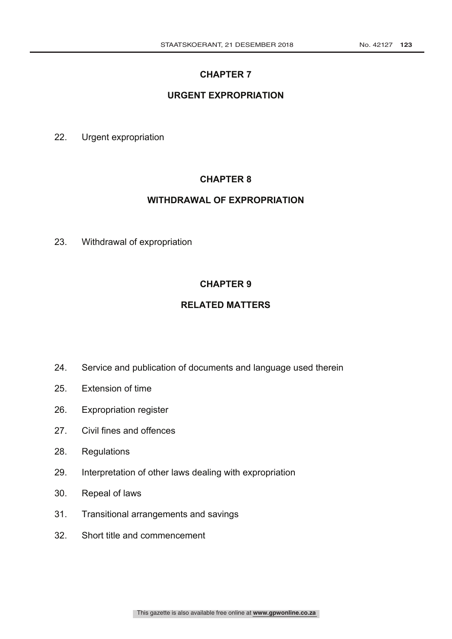## **CHAPTER 7**

## **URGENT EXPROPRIATION**

22. Urgent expropriation

## **CHAPTER 8**

## **WITHDRAWAL OF EXPROPRIATION**

23. Withdrawal of expropriation

## **CHAPTER 9**

## **RELATED MATTERS**

- 24. Service and publication of documents and language used therein
- 25. Extension of time
- 26. Expropriation register
- 27. Civil fines and offences
- 28. Regulations
- 29. Interpretation of other laws dealing with expropriation
- 30. Repeal of laws
- 31. Transitional arrangements and savings
- 32. Short title and commencement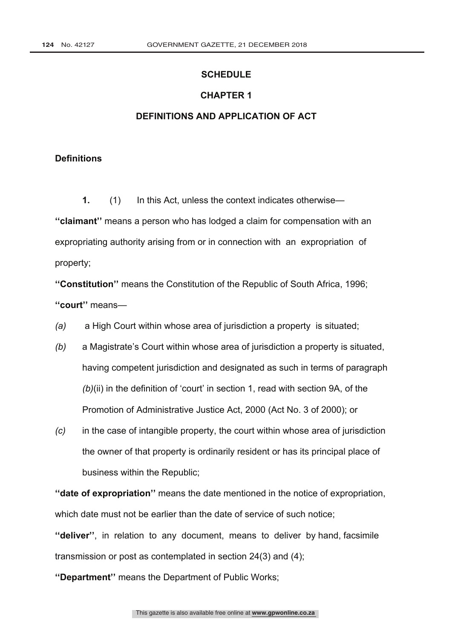#### **SCHEDULE**

#### **CHAPTER 1**

### **DEFINITIONS AND APPLICATION OF ACT**

#### **Definitions**

**1.** (1) In this Act, unless the context indicates otherwise— **''claimant''** means a person who has lodged a claim for compensation with an expropriating authority arising from or in connection with an expropriation of property;

**''Constitution''** means the Constitution of the Republic of South Africa, 1996; **''court''** means—

- *(a)* a High Court within whose area of jurisdiction a property is situated;
- *(b)* a Magistrate's Court within whose area of jurisdiction a property is situated, having competent jurisdiction and designated as such in terms of paragraph *(b)*(ii) in the definition of 'court' in section 1, read with section 9A, of the Promotion of Administrative Justice Act, 2000 (Act No. 3 of 2000); or
- *(c)* in the case of intangible property, the court within whose area of jurisdiction the owner of that property is ordinarily resident or has its principal place of business within the Republic;

**''date of expropriation''** means the date mentioned in the notice of expropriation, which date must not be earlier than the date of service of such notice;

**''deliver''**, in relation to any document, means to deliver by hand, facsimile transmission or post as contemplated in section 24(3) and (4);

**''Department''** means the Department of Public Works;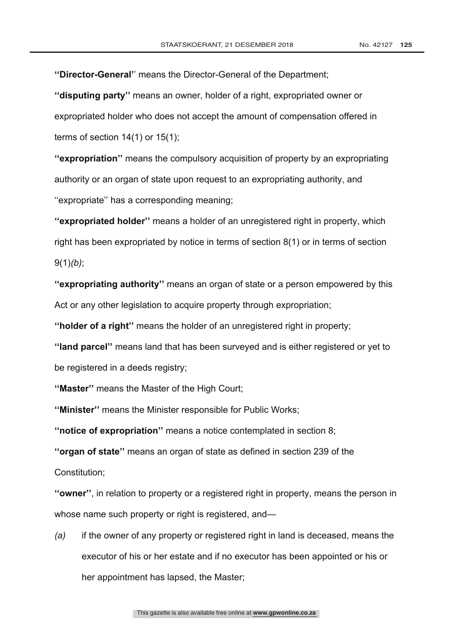**''Director-General'**' means the Director-General of the Department;

**''disputing party''** means an owner, holder of a right, expropriated owner or expropriated holder who does not accept the amount of compensation offered in terms of section 14(1) or 15(1);

**''expropriation''** means the compulsory acquisition of property by an expropriating authority or an organ of state upon request to an expropriating authority, and ''expropriate'' has a corresponding meaning;

**''expropriated holder''** means a holder of an unregistered right in property, which right has been expropriated by notice in terms of section 8(1) or in terms of section 9(1)*(b)*;

**''expropriating authority''** means an organ of state or a person empowered by this Act or any other legislation to acquire property through expropriation;

**''holder of a right''** means the holder of an unregistered right in property;

**''land parcel''** means land that has been surveyed and is either registered or yet to be registered in a deeds registry;

**''Master''** means the Master of the High Court;

**''Minister''** means the Minister responsible for Public Works;

**''notice of expropriation''** means a notice contemplated in section 8;

**''organ of state''** means an organ of state as defined in section 239 of the Constitution;

**''owner''**, in relation to property or a registered right in property, means the person in whose name such property or right is registered, and—

*(a)* if the owner of any property or registered right in land is deceased, means the executor of his or her estate and if no executor has been appointed or his or her appointment has lapsed, the Master;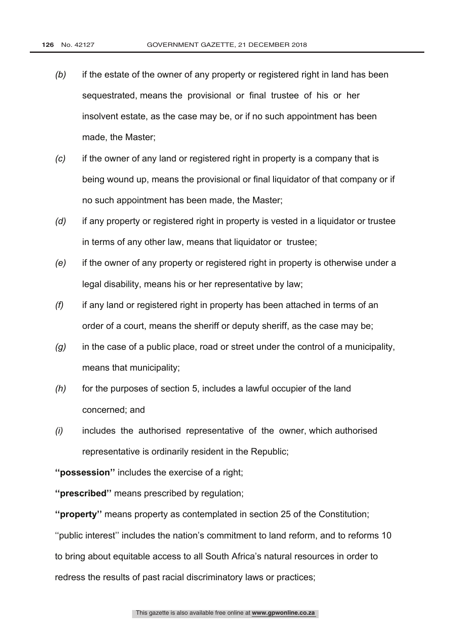- *(b)* if the estate of the owner of any property or registered right in land has been sequestrated, means the provisional or final trustee of his or her insolvent estate, as the case may be, or if no such appointment has been made, the Master;
- *(c)* if the owner of any land or registered right in property is a company that is being wound up, means the provisional or final liquidator of that company or if no such appointment has been made, the Master;
- *(d)* if any property or registered right in property is vested in a liquidator or trustee in terms of any other law, means that liquidator or trustee;
- *(e)* if the owner of any property or registered right in property is otherwise under a legal disability, means his or her representative by law;
- *(f)* if any land or registered right in property has been attached in terms of an order of a court, means the sheriff or deputy sheriff, as the case may be;
- *(g)* in the case of a public place, road or street under the control of a municipality, means that municipality;
- *(h)* for the purposes of section 5, includes a lawful occupier of the land concerned; and
- *(i)* includes the authorised representative of the owner, which authorised representative is ordinarily resident in the Republic;

**''possession''** includes the exercise of a right;

**''prescribed''** means prescribed by regulation;

**''property''** means property as contemplated in section 25 of the Constitution; ''public interest'' includes the nation's commitment to land reform, and to reforms 10 to bring about equitable access to all South Africa's natural resources in order to redress the results of past racial discriminatory laws or practices;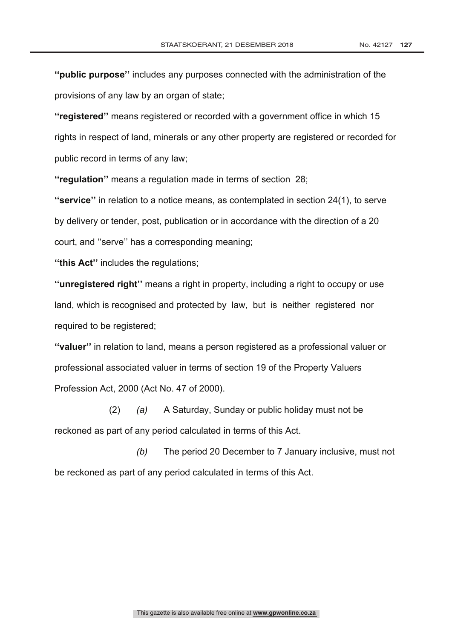**''public purpose''** includes any purposes connected with the administration of the provisions of any law by an organ of state;

**''registered''** means registered or recorded with a government office in which 15 rights in respect of land, minerals or any other property are registered or recorded for public record in terms of any law;

**''regulation''** means a regulation made in terms of section 28;

**''service''** in relation to a notice means, as contemplated in section 24(1), to serve by delivery or tender, post, publication or in accordance with the direction of a 20 court, and ''serve'' has a corresponding meaning;

**''this Act''** includes the regulations;

**''unregistered right''** means a right in property, including a right to occupy or use land, which is recognised and protected by law, but is neither registered nor required to be registered;

**''valuer''** in relation to land, means a person registered as a professional valuer or professional associated valuer in terms of section 19 of the Property Valuers Profession Act, 2000 (Act No. 47 of 2000).

 (2) *(a)* A Saturday, Sunday or public holiday must not be reckoned as part of any period calculated in terms of this Act.

 *(b)* The period 20 December to 7 January inclusive, must not be reckoned as part of any period calculated in terms of this Act.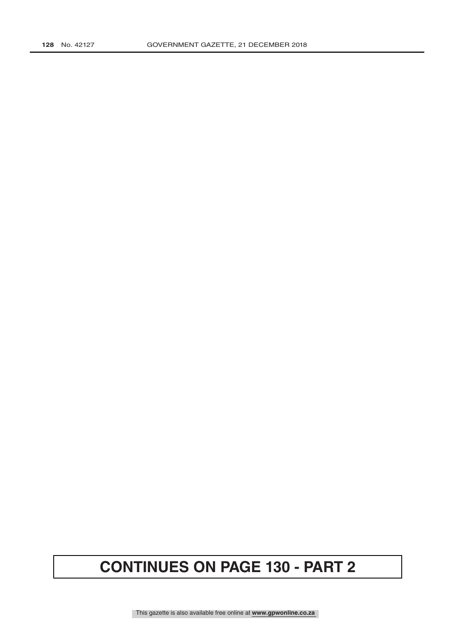# **CONTINUES ON PAGE 130 - PART 2**

This gazette is also available free online at **www.gpwonline.co.za**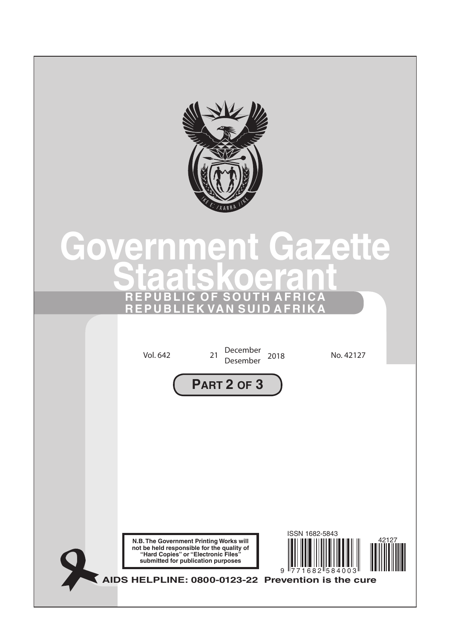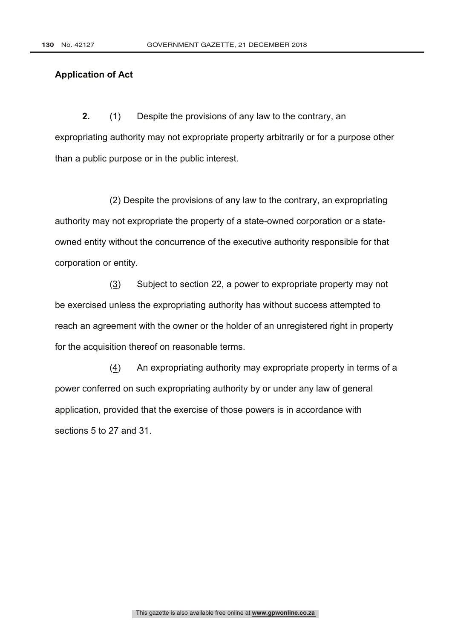#### **Application of Act**

 **2.** (1) Despite the provisions of any law to the contrary, an expropriating authority may not expropriate property arbitrarily or for a purpose other than a public purpose or in the public interest.

 (2) Despite the provisions of any law to the contrary, an expropriating authority may not expropriate the property of a state-owned corporation or a stateowned entity without the concurrence of the executive authority responsible for that corporation or entity.

 (3) Subject to section 22, a power to expropriate property may not be exercised unless the expropriating authority has without success attempted to reach an agreement with the owner or the holder of an unregistered right in property for the acquisition thereof on reasonable terms.

 (4) An expropriating authority may expropriate property in terms of a power conferred on such expropriating authority by or under any law of general application, provided that the exercise of those powers is in accordance with sections 5 to 27 and 31.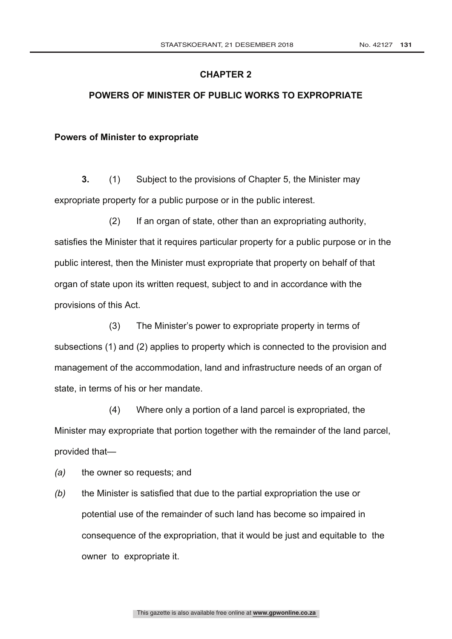#### **CHAPTER 2**

#### **POWERS OF MINISTER OF PUBLIC WORKS TO EXPROPRIATE**

#### **Powers of Minister to expropriate**

**3.** (1) Subject to the provisions of Chapter 5, the Minister may expropriate property for a public purpose or in the public interest.

 (2) If an organ of state, other than an expropriating authority, satisfies the Minister that it requires particular property for a public purpose or in the public interest, then the Minister must expropriate that property on behalf of that organ of state upon its written request, subject to and in accordance with the provisions of this Act.

 (3) The Minister's power to expropriate property in terms of subsections (1) and (2) applies to property which is connected to the provision and management of the accommodation, land and infrastructure needs of an organ of state, in terms of his or her mandate.

 (4) Where only a portion of a land parcel is expropriated, the Minister may expropriate that portion together with the remainder of the land parcel, provided that—

*(a)* the owner so requests; and

*(b)* the Minister is satisfied that due to the partial expropriation the use or potential use of the remainder of such land has become so impaired in consequence of the expropriation, that it would be just and equitable to the owner to expropriate it.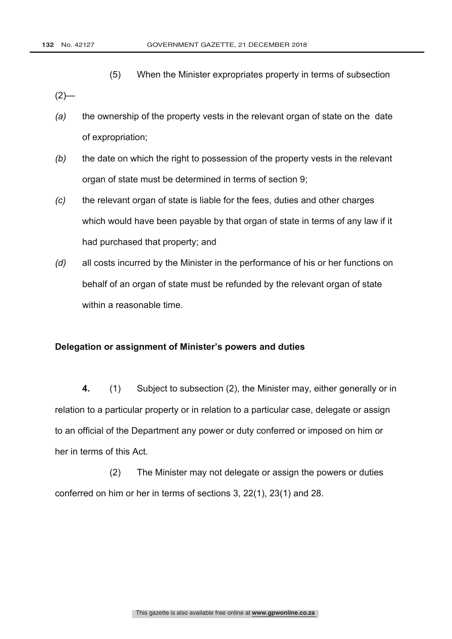(5) When the Minister expropriates property in terms of subsection

 $(2)$ —

- *(a)* the ownership of the property vests in the relevant organ of state on the date of expropriation;
- *(b)* the date on which the right to possession of the property vests in the relevant organ of state must be determined in terms of section 9;
- *(c)* the relevant organ of state is liable for the fees, duties and other charges which would have been payable by that organ of state in terms of any law if it had purchased that property; and
- *(d)* all costs incurred by the Minister in the performance of his or her functions on behalf of an organ of state must be refunded by the relevant organ of state within a reasonable time.

#### **Delegation or assignment of Minister's powers and duties**

**4.** (1) Subject to subsection (2), the Minister may, either generally or in relation to a particular property or in relation to a particular case, delegate or assign to an official of the Department any power or duty conferred or imposed on him or her in terms of this Act.

 (2) The Minister may not delegate or assign the powers or duties conferred on him or her in terms of sections 3, 22(1), 23(1) and 28.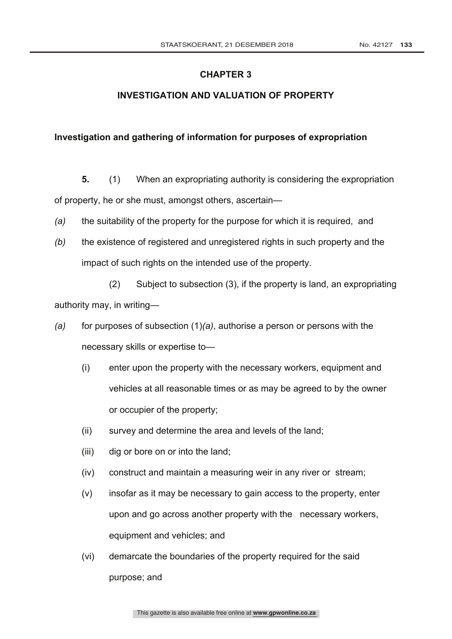## **CHAPTER 3**

## **INVESTIGATION AND VALUATION OF PROPERTY**

#### **Investigation and gathering of information for purposes of expropriation**

**5.** (1) When an expropriating authority is considering the expropriation of property, he or she must, amongst others, ascertain—

- *(a)* the suitability of the property for the purpose for which it is required, and
- *(b)* the existence of registered and unregistered rights in such property and the impact of such rights on the intended use of the property.

 (2) Subject to subsection (3), if the property is land, an expropriating authority may, in writing—

- *(a)* for purposes of subsection (1)*(a)*, authorise a person or persons with the necessary skills or expertise to—
	- (i) enter upon the property with the necessary workers, equipment and vehicles at all reasonable times or as may be agreed to by the owner or occupier of the property;
	- (ii) survey and determine the area and levels of the land;
	- (iii) dig or bore on or into the land;
	- (iv) construct and maintain a measuring weir in any river or stream;
	- (v) insofar as it may be necessary to gain access to the property, enter upon and go across another property with the necessary workers, equipment and vehicles; and
	- (vi) demarcate the boundaries of the property required for the said purpose; and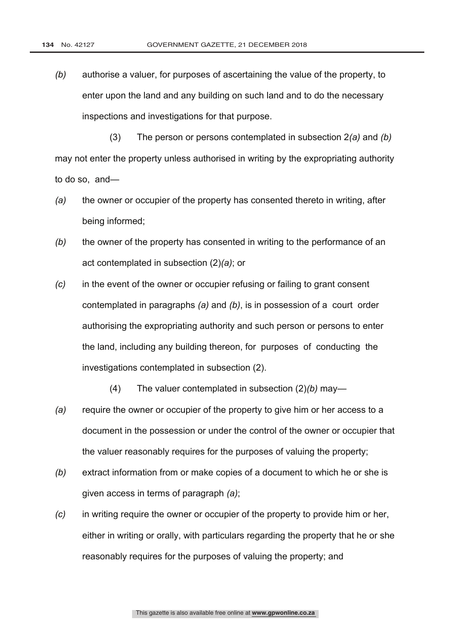*(b)* authorise a valuer, for purposes of ascertaining the value of the property, to enter upon the land and any building on such land and to do the necessary inspections and investigations for that purpose.

 (3) The person or persons contemplated in subsection 2*(a)* and *(b)* may not enter the property unless authorised in writing by the expropriating authority to do so, and—

- *(a)* the owner or occupier of the property has consented thereto in writing, after being informed;
- *(b)* the owner of the property has consented in writing to the performance of an act contemplated in subsection (2)*(a)*; or
- *(c)* in the event of the owner or occupier refusing or failing to grant consent contemplated in paragraphs *(a)* and *(b)*, is in possession of a court order authorising the expropriating authority and such person or persons to enter the land, including any building thereon, for purposes of conducting the investigations contemplated in subsection (2).
	- (4) The valuer contemplated in subsection (2)*(b)* may—
- *(a)* require the owner or occupier of the property to give him or her access to a document in the possession or under the control of the owner or occupier that the valuer reasonably requires for the purposes of valuing the property;
- *(b)* extract information from or make copies of a document to which he or she is given access in terms of paragraph *(a)*;
- *(c)* in writing require the owner or occupier of the property to provide him or her, either in writing or orally, with particulars regarding the property that he or she reasonably requires for the purposes of valuing the property; and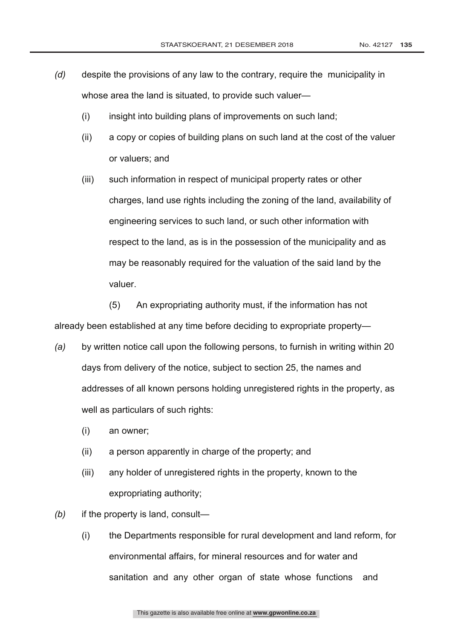- *(d)* despite the provisions of any law to the contrary, require the municipality in whose area the land is situated, to provide such valuer—
	- $(i)$  insight into building plans of improvements on such land;
	- (ii) a copy or copies of building plans on such land at the cost of the valuer or valuers; and
	- (iii) such information in respect of municipal property rates or other charges, land use rights including the zoning of the land, availability of engineering services to such land, or such other information with respect to the land, as is in the possession of the municipality and as may be reasonably required for the valuation of the said land by the valuer.

 (5) An expropriating authority must, if the information has not already been established at any time before deciding to expropriate property—

- *(a)* by written notice call upon the following persons, to furnish in writing within 20 days from delivery of the notice, subject to section 25, the names and addresses of all known persons holding unregistered rights in the property, as well as particulars of such rights:
	- (i) an owner;
	- (ii) a person apparently in charge of the property; and
	- (iii) any holder of unregistered rights in the property, known to the expropriating authority;
- *(b)* if the property is land, consult—
	- (i) the Departments responsible for rural development and land reform, for environmental affairs, for mineral resources and for water and sanitation and any other organ of state whose functions and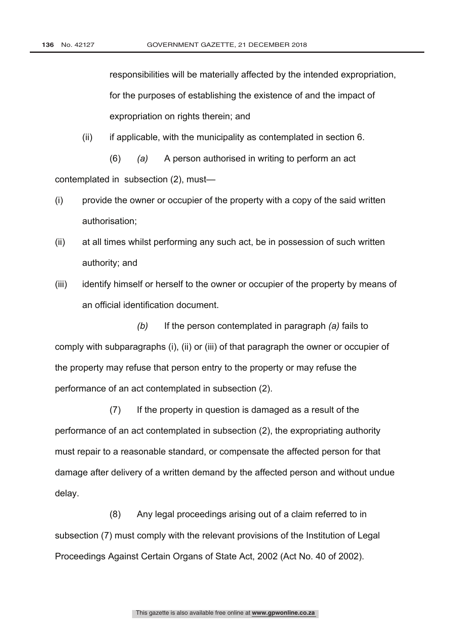responsibilities will be materially affected by the intended expropriation, for the purposes of establishing the existence of and the impact of expropriation on rights therein; and

(ii) if applicable, with the municipality as contemplated in section 6.

 (6) *(a)* A person authorised in writing to perform an act contemplated in subsection (2), must—

- (i) provide the owner or occupier of the property with a copy of the said written authorisation;
- (ii) at all times whilst performing any such act, be in possession of such written authority; and
- (iii) identify himself or herself to the owner or occupier of the property by means of an official identification document.

 *(b)* If the person contemplated in paragraph *(a)* fails to comply with subparagraphs (i), (ii) or (iii) of that paragraph the owner or occupier of the property may refuse that person entry to the property or may refuse the performance of an act contemplated in subsection (2).

 (7) If the property in question is damaged as a result of the performance of an act contemplated in subsection (2), the expropriating authority must repair to a reasonable standard, or compensate the affected person for that damage after delivery of a written demand by the affected person and without undue delay.

 (8) Any legal proceedings arising out of a claim referred to in subsection (7) must comply with the relevant provisions of the Institution of Legal Proceedings Against Certain Organs of State Act, 2002 (Act No. 40 of 2002).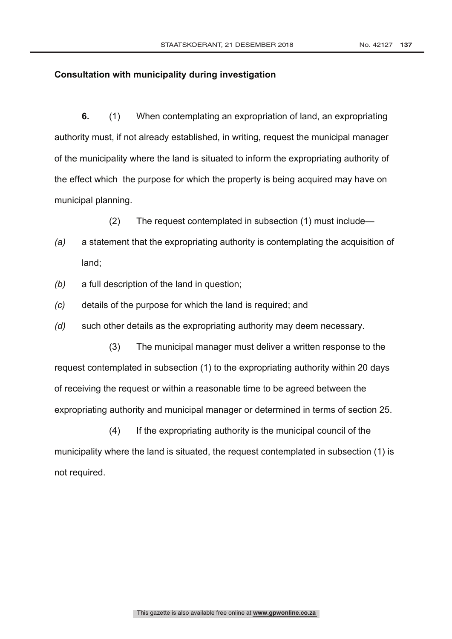#### **Consultation with municipality during investigation**

**6.** (1) When contemplating an expropriation of land, an expropriating authority must, if not already established, in writing, request the municipal manager of the municipality where the land is situated to inform the expropriating authority of the effect which the purpose for which the property is being acquired may have on municipal planning.

(2) The request contemplated in subsection (1) must include—

- *(a)* a statement that the expropriating authority is contemplating the acquisition of land;
- *(b)* a full description of the land in question;
- *(c)* details of the purpose for which the land is required; and
- *(d)* such other details as the expropriating authority may deem necessary.

 (3) The municipal manager must deliver a written response to the request contemplated in subsection (1) to the expropriating authority within 20 days of receiving the request or within a reasonable time to be agreed between the expropriating authority and municipal manager or determined in terms of section 25.

 (4) If the expropriating authority is the municipal council of the municipality where the land is situated, the request contemplated in subsection (1) is not required.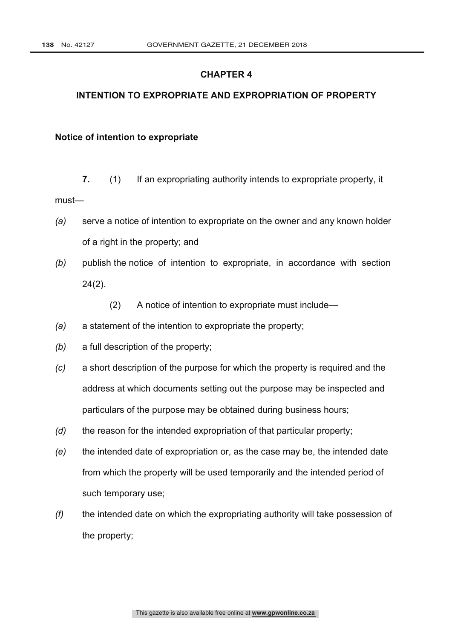#### **CHAPTER 4**

#### **INTENTION TO EXPROPRIATE AND EXPROPRIATION OF PROPERTY**

#### **Notice of intention to expropriate**

- **7.** (1) If an expropriating authority intends to expropriate property, it must—
- *(a)* serve a notice of intention to expropriate on the owner and any known holder of a right in the property; and
- *(b)* publish the notice of intention to expropriate, in accordance with section 24(2).
	- (2) A notice of intention to expropriate must include—
- *(a)* a statement of the intention to expropriate the property;
- *(b)* a full description of the property;
- *(c)* a short description of the purpose for which the property is required and the address at which documents setting out the purpose may be inspected and particulars of the purpose may be obtained during business hours;
- *(d)* the reason for the intended expropriation of that particular property;
- *(e)* the intended date of expropriation or, as the case may be, the intended date from which the property will be used temporarily and the intended period of such temporary use;
- *(f)* the intended date on which the expropriating authority will take possession of the property;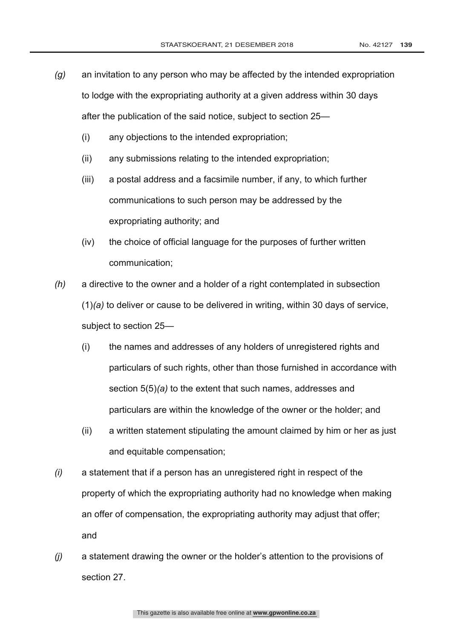- *(g)* an invitation to any person who may be affected by the intended expropriation to lodge with the expropriating authority at a given address within 30 days after the publication of the said notice, subject to section 25—
	- (i) any objections to the intended expropriation;
	- (ii) any submissions relating to the intended expropriation;
	- (iii) a postal address and a facsimile number, if any, to which further communications to such person may be addressed by the expropriating authority; and
	- (iv) the choice of official language for the purposes of further written communication;
- *(h)* a directive to the owner and a holder of a right contemplated in subsection (1)*(a)* to deliver or cause to be delivered in writing, within 30 days of service, subject to section 25—
	- (i) the names and addresses of any holders of unregistered rights and particulars of such rights, other than those furnished in accordance with section 5(5)*(a)* to the extent that such names, addresses and particulars are within the knowledge of the owner or the holder; and
	- (ii) a written statement stipulating the amount claimed by him or her as just and equitable compensation;
- *(i)* a statement that if a person has an unregistered right in respect of the property of which the expropriating authority had no knowledge when making an offer of compensation, the expropriating authority may adjust that offer; and
- *(j)* a statement drawing the owner or the holder's attention to the provisions of section 27.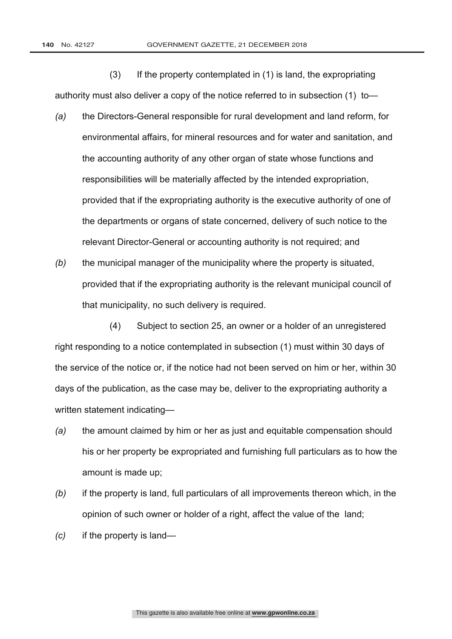(3) If the property contemplated in (1) is land, the expropriating authority must also deliver a copy of the notice referred to in subsection (1) to—

- *(a)* the Directors-General responsible for rural development and land reform, for environmental affairs, for mineral resources and for water and sanitation, and the accounting authority of any other organ of state whose functions and responsibilities will be materially affected by the intended expropriation, provided that if the expropriating authority is the executive authority of one of the departments or organs of state concerned, delivery of such notice to the relevant Director-General or accounting authority is not required; and
- *(b)* the municipal manager of the municipality where the property is situated, provided that if the expropriating authority is the relevant municipal council of that municipality, no such delivery is required.

 (4) Subject to section 25, an owner or a holder of an unregistered right responding to a notice contemplated in subsection (1) must within 30 days of the service of the notice or, if the notice had not been served on him or her, within 30 days of the publication, as the case may be, deliver to the expropriating authority a written statement indicating—

- *(a)* the amount claimed by him or her as just and equitable compensation should his or her property be expropriated and furnishing full particulars as to how the amount is made up;
- *(b)* if the property is land, full particulars of all improvements thereon which, in the opinion of such owner or holder of a right, affect the value of the land;
- *(c)* if the property is land—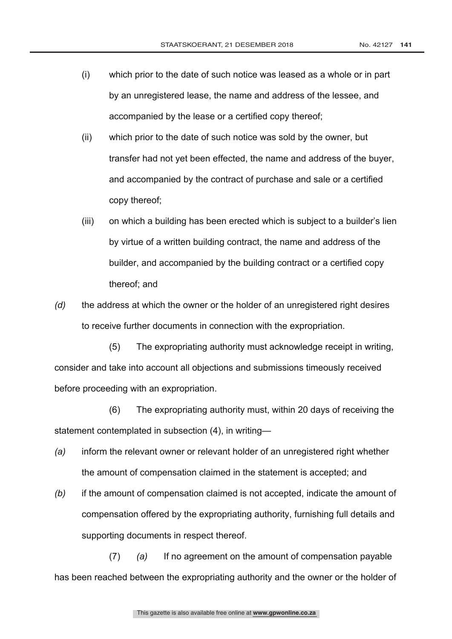- (i) which prior to the date of such notice was leased as a whole or in part by an unregistered lease, the name and address of the lessee, and accompanied by the lease or a certified copy thereof;
- (ii) which prior to the date of such notice was sold by the owner, but transfer had not yet been effected, the name and address of the buyer, and accompanied by the contract of purchase and sale or a certified copy thereof;
- (iii) on which a building has been erected which is subject to a builder's lien by virtue of a written building contract, the name and address of the builder, and accompanied by the building contract or a certified copy thereof; and
- *(d)* the address at which the owner or the holder of an unregistered right desires to receive further documents in connection with the expropriation.

 (5) The expropriating authority must acknowledge receipt in writing, consider and take into account all objections and submissions timeously received before proceeding with an expropriation.

 (6) The expropriating authority must, within 20 days of receiving the statement contemplated in subsection (4), in writing—

- *(a)* inform the relevant owner or relevant holder of an unregistered right whether the amount of compensation claimed in the statement is accepted; and
- *(b)* if the amount of compensation claimed is not accepted, indicate the amount of compensation offered by the expropriating authority, furnishing full details and supporting documents in respect thereof.

 (7) *(a)* If no agreement on the amount of compensation payable has been reached between the expropriating authority and the owner or the holder of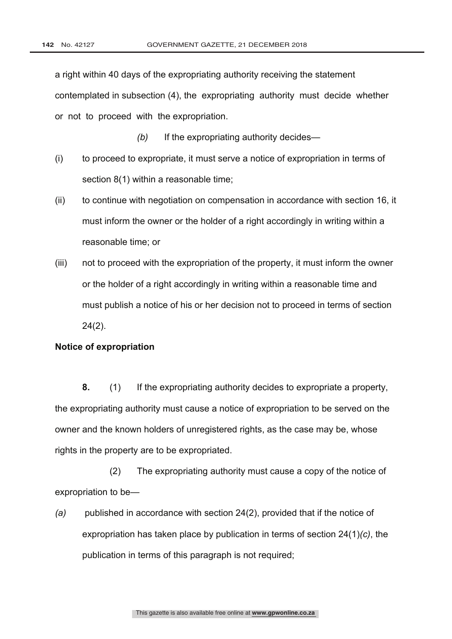a right within 40 days of the expropriating authority receiving the statement contemplated in subsection (4), the expropriating authority must decide whether or not to proceed with the expropriation.

*(b)* If the expropriating authority decides—

- (i) to proceed to expropriate, it must serve a notice of expropriation in terms of section 8(1) within a reasonable time;
- (ii) to continue with negotiation on compensation in accordance with section 16, it must inform the owner or the holder of a right accordingly in writing within a reasonable time; or
- (iii) not to proceed with the expropriation of the property, it must inform the owner or the holder of a right accordingly in writing within a reasonable time and must publish a notice of his or her decision not to proceed in terms of section 24(2).

#### **Notice of expropriation**

**8.** (1) If the expropriating authority decides to expropriate a property, the expropriating authority must cause a notice of expropriation to be served on the owner and the known holders of unregistered rights, as the case may be, whose rights in the property are to be expropriated.

 (2) The expropriating authority must cause a copy of the notice of expropriation to be—

*(a)* published in accordance with section 24(2), provided that if the notice of expropriation has taken place by publication in terms of section 24(1)*(c)*, the publication in terms of this paragraph is not required;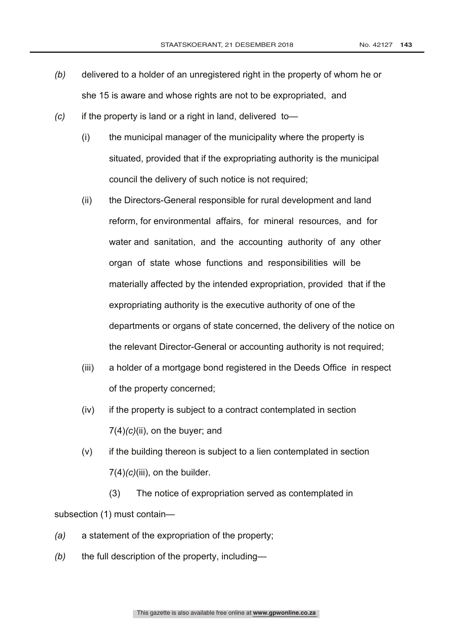- 
- *(b)* delivered to a holder of an unregistered right in the property of whom he or she 15 is aware and whose rights are not to be expropriated, and
- *(c)* if the property is land or a right in land, delivered to—
	- (i) the municipal manager of the municipality where the property is situated, provided that if the expropriating authority is the municipal council the delivery of such notice is not required;
	- (ii) the Directors-General responsible for rural development and land reform, for environmental affairs, for mineral resources, and for water and sanitation, and the accounting authority of any other organ of state whose functions and responsibilities will be materially affected by the intended expropriation, provided that if the expropriating authority is the executive authority of one of the departments or organs of state concerned, the delivery of the notice on the relevant Director-General or accounting authority is not required;
	- (iii) a holder of a mortgage bond registered in the Deeds Office in respect of the property concerned;
	- (iv) if the property is subject to a contract contemplated in section 7(4)*(c)*(ii), on the buyer; and
	- (v) if the building thereon is subject to a lien contemplated in section 7(4)*(c)*(iii), on the builder.

 (3) The notice of expropriation served as contemplated in subsection (1) must contain—

- *(a)* a statement of the expropriation of the property;
- *(b)* the full description of the property, including—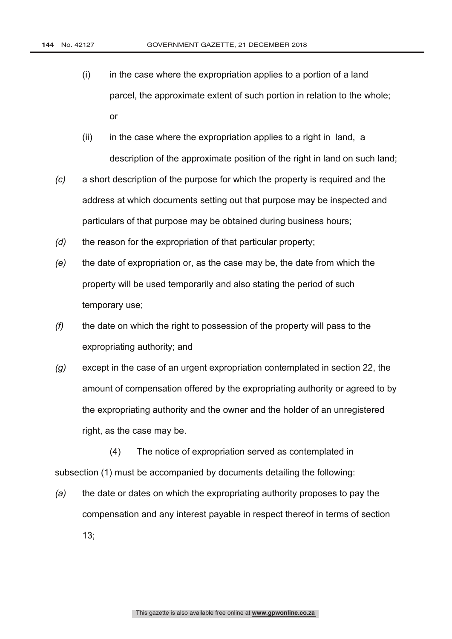- (i) in the case where the expropriation applies to a portion of a land parcel, the approximate extent of such portion in relation to the whole; or
- (ii) in the case where the expropriation applies to a right in land, a description of the approximate position of the right in land on such land;
- *(c)* a short description of the purpose for which the property is required and the address at which documents setting out that purpose may be inspected and particulars of that purpose may be obtained during business hours;
- *(d)* the reason for the expropriation of that particular property;
- *(e)* the date of expropriation or, as the case may be, the date from which the property will be used temporarily and also stating the period of such temporary use;
- *(f)* the date on which the right to possession of the property will pass to the expropriating authority; and
- *(g)* except in the case of an urgent expropriation contemplated in section 22, the amount of compensation offered by the expropriating authority or agreed to by the expropriating authority and the owner and the holder of an unregistered right, as the case may be.

 (4) The notice of expropriation served as contemplated in subsection (1) must be accompanied by documents detailing the following:

*(a)* the date or dates on which the expropriating authority proposes to pay the compensation and any interest payable in respect thereof in terms of section 13;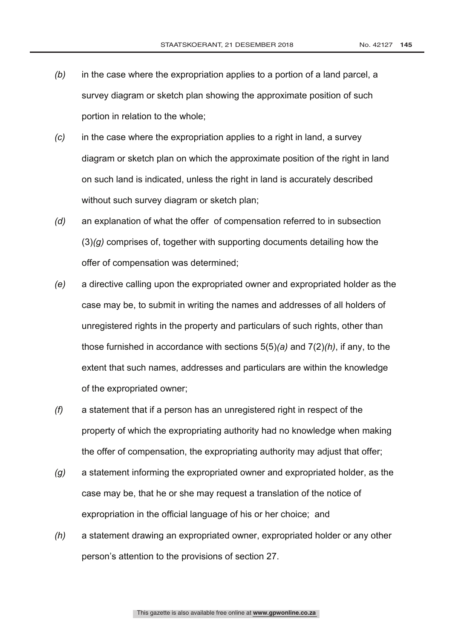- *(b)* in the case where the expropriation applies to a portion of a land parcel, a survey diagram or sketch plan showing the approximate position of such portion in relation to the whole;
- *(c)* in the case where the expropriation applies to a right in land, a survey diagram or sketch plan on which the approximate position of the right in land on such land is indicated, unless the right in land is accurately described without such survey diagram or sketch plan;
- *(d)* an explanation of what the offer of compensation referred to in subsection (3)*(g)* comprises of, together with supporting documents detailing how the offer of compensation was determined;
- *(e)* a directive calling upon the expropriated owner and expropriated holder as the case may be, to submit in writing the names and addresses of all holders of unregistered rights in the property and particulars of such rights, other than those furnished in accordance with sections 5(5)*(a)* and 7(2)*(h)*, if any, to the extent that such names, addresses and particulars are within the knowledge of the expropriated owner;
- *(f)* a statement that if a person has an unregistered right in respect of the property of which the expropriating authority had no knowledge when making the offer of compensation, the expropriating authority may adjust that offer;
- *(g)* a statement informing the expropriated owner and expropriated holder, as the case may be, that he or she may request a translation of the notice of expropriation in the official language of his or her choice; and
- *(h)* a statement drawing an expropriated owner, expropriated holder or any other person's attention to the provisions of section 27.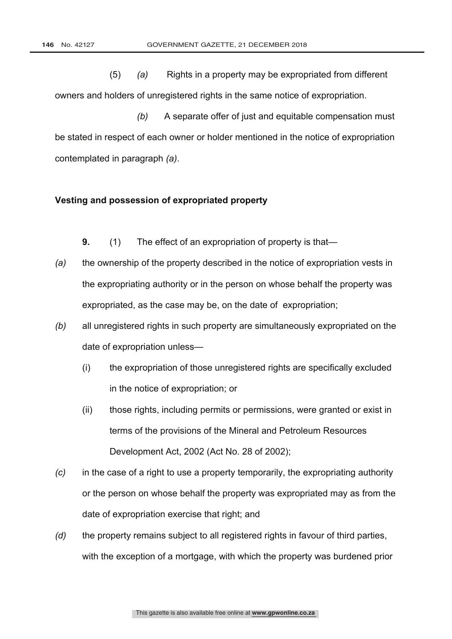(5) *(a)* Rights in a property may be expropriated from different owners and holders of unregistered rights in the same notice of expropriation.

 *(b)* A separate offer of just and equitable compensation must be stated in respect of each owner or holder mentioned in the notice of expropriation contemplated in paragraph *(a)*.

#### **Vesting and possession of expropriated property**

- **9.** (1) The effect of an expropriation of property is that—
- *(a)* the ownership of the property described in the notice of expropriation vests in the expropriating authority or in the person on whose behalf the property was expropriated, as the case may be, on the date of expropriation;
- *(b)* all unregistered rights in such property are simultaneously expropriated on the date of expropriation unless—
	- (i) the expropriation of those unregistered rights are specifically excluded in the notice of expropriation; or
	- (ii) those rights, including permits or permissions, were granted or exist in terms of the provisions of the Mineral and Petroleum Resources Development Act, 2002 (Act No. 28 of 2002);
- *(c)* in the case of a right to use a property temporarily, the expropriating authority or the person on whose behalf the property was expropriated may as from the date of expropriation exercise that right; and
- *(d)* the property remains subject to all registered rights in favour of third parties, with the exception of a mortgage, with which the property was burdened prior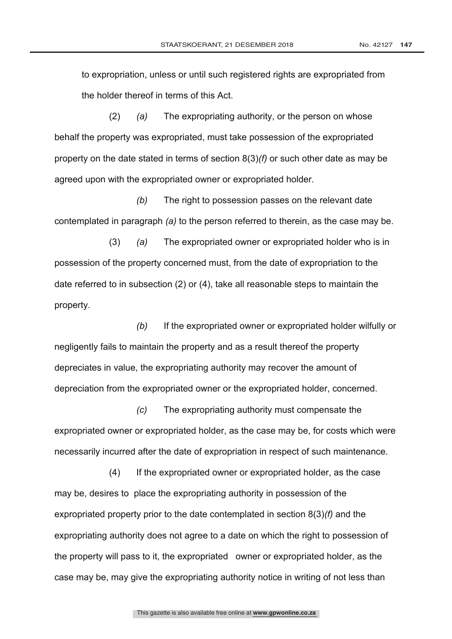to expropriation, unless or until such registered rights are expropriated from the holder thereof in terms of this Act.

 (2) *(a)* The expropriating authority, or the person on whose behalf the property was expropriated, must take possession of the expropriated property on the date stated in terms of section 8(3)*(f)* or such other date as may be agreed upon with the expropriated owner or expropriated holder.

 *(b)* The right to possession passes on the relevant date contemplated in paragraph *(a)* to the person referred to therein, as the case may be.

 (3) *(a)* The expropriated owner or expropriated holder who is in possession of the property concerned must, from the date of expropriation to the date referred to in subsection (2) or (4), take all reasonable steps to maintain the property.

 *(b)* If the expropriated owner or expropriated holder wilfully or negligently fails to maintain the property and as a result thereof the property depreciates in value, the expropriating authority may recover the amount of depreciation from the expropriated owner or the expropriated holder, concerned.

 *(c)* The expropriating authority must compensate the expropriated owner or expropriated holder, as the case may be, for costs which were necessarily incurred after the date of expropriation in respect of such maintenance.

 (4) If the expropriated owner or expropriated holder, as the case may be, desires to place the expropriating authority in possession of the expropriated property prior to the date contemplated in section 8(3)*(f)* and the expropriating authority does not agree to a date on which the right to possession of the property will pass to it, the expropriated owner or expropriated holder, as the case may be, may give the expropriating authority notice in writing of not less than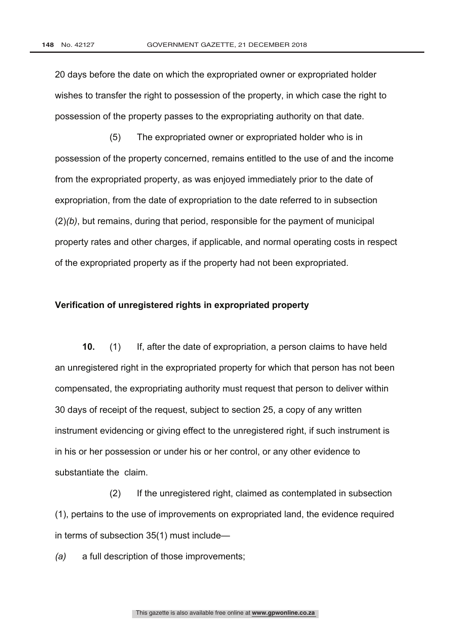20 days before the date on which the expropriated owner or expropriated holder wishes to transfer the right to possession of the property, in which case the right to possession of the property passes to the expropriating authority on that date.

 (5) The expropriated owner or expropriated holder who is in possession of the property concerned, remains entitled to the use of and the income from the expropriated property, as was enjoyed immediately prior to the date of expropriation, from the date of expropriation to the date referred to in subsection (2)*(b)*, but remains, during that period, responsible for the payment of municipal property rates and other charges, if applicable, and normal operating costs in respect of the expropriated property as if the property had not been expropriated.

#### **Verification of unregistered rights in expropriated property**

**10.** (1) If, after the date of expropriation, a person claims to have held an unregistered right in the expropriated property for which that person has not been compensated, the expropriating authority must request that person to deliver within 30 days of receipt of the request, subject to section 25, a copy of any written instrument evidencing or giving effect to the unregistered right, if such instrument is in his or her possession or under his or her control, or any other evidence to substantiate the claim.

 (2) If the unregistered right, claimed as contemplated in subsection (1), pertains to the use of improvements on expropriated land, the evidence required in terms of subsection 35(1) must include—

*(a)* a full description of those improvements;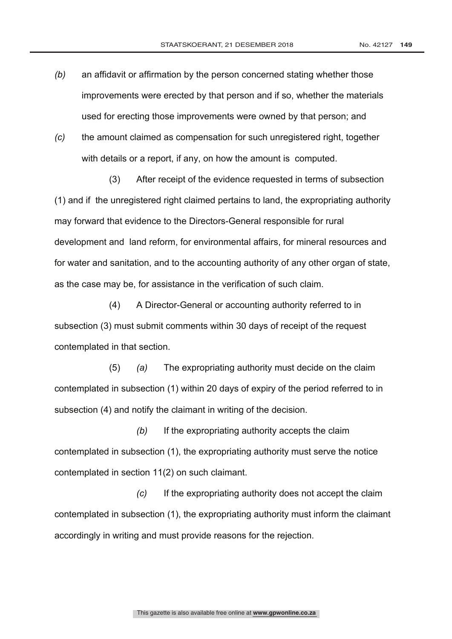- 
- *(b)* an affidavit or affirmation by the person concerned stating whether those improvements were erected by that person and if so, whether the materials used for erecting those improvements were owned by that person; and
- *(c)* the amount claimed as compensation for such unregistered right, together with details or a report, if any, on how the amount is computed.

 (3) After receipt of the evidence requested in terms of subsection (1) and if the unregistered right claimed pertains to land, the expropriating authority may forward that evidence to the Directors-General responsible for rural development and land reform, for environmental affairs, for mineral resources and for water and sanitation, and to the accounting authority of any other organ of state, as the case may be, for assistance in the verification of such claim.

 (4) A Director-General or accounting authority referred to in subsection (3) must submit comments within 30 days of receipt of the request contemplated in that section.

 (5) *(a)* The expropriating authority must decide on the claim contemplated in subsection (1) within 20 days of expiry of the period referred to in subsection (4) and notify the claimant in writing of the decision.

 *(b)* If the expropriating authority accepts the claim contemplated in subsection (1), the expropriating authority must serve the notice contemplated in section 11(2) on such claimant.

 *(c)* If the expropriating authority does not accept the claim contemplated in subsection (1), the expropriating authority must inform the claimant accordingly in writing and must provide reasons for the rejection.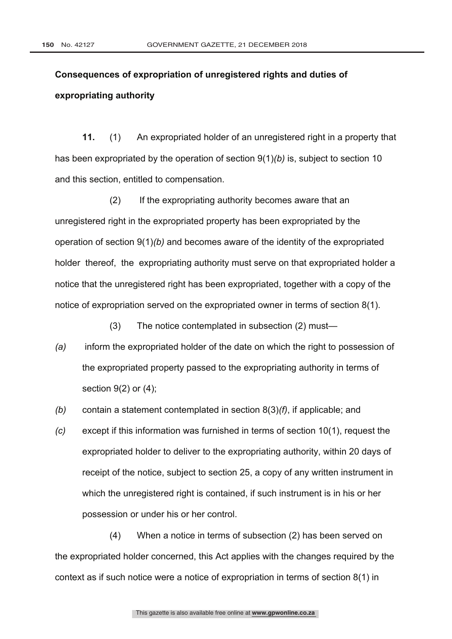## **Consequences of expropriation of unregistered rights and duties of expropriating authority**

**11.** (1) An expropriated holder of an unregistered right in a property that has been expropriated by the operation of section 9(1)*(b)* is, subject to section 10 and this section, entitled to compensation.

 (2) If the expropriating authority becomes aware that an unregistered right in the expropriated property has been expropriated by the operation of section 9(1)*(b)* and becomes aware of the identity of the expropriated holder thereof, the expropriating authority must serve on that expropriated holder a notice that the unregistered right has been expropriated, together with a copy of the notice of expropriation served on the expropriated owner in terms of section 8(1).

(3) The notice contemplated in subsection (2) must—

- *(a)* inform the expropriated holder of the date on which the right to possession of the expropriated property passed to the expropriating authority in terms of section 9(2) or (4);
- *(b)* contain a statement contemplated in section 8(3)*(f)*, if applicable; and
- *(c)* except if this information was furnished in terms of section 10(1), request the expropriated holder to deliver to the expropriating authority, within 20 days of receipt of the notice, subject to section 25, a copy of any written instrument in which the unregistered right is contained, if such instrument is in his or her possession or under his or her control.

 (4) When a notice in terms of subsection (2) has been served on the expropriated holder concerned, this Act applies with the changes required by the context as if such notice were a notice of expropriation in terms of section 8(1) in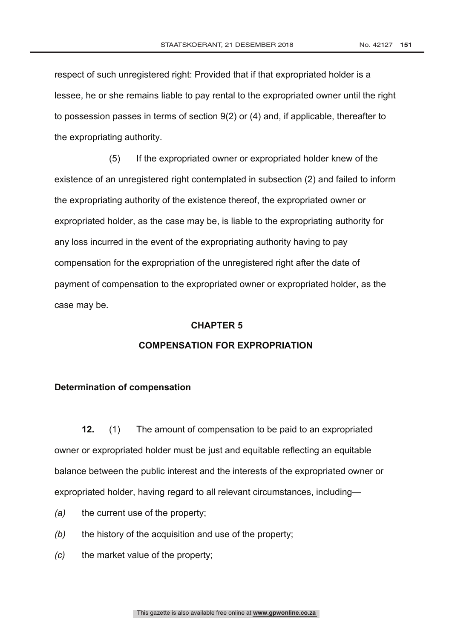respect of such unregistered right: Provided that if that expropriated holder is a lessee, he or she remains liable to pay rental to the expropriated owner until the right to possession passes in terms of section 9(2) or (4) and, if applicable, thereafter to the expropriating authority.

 (5) If the expropriated owner or expropriated holder knew of the existence of an unregistered right contemplated in subsection (2) and failed to inform the expropriating authority of the existence thereof, the expropriated owner or expropriated holder, as the case may be, is liable to the expropriating authority for any loss incurred in the event of the expropriating authority having to pay compensation for the expropriation of the unregistered right after the date of payment of compensation to the expropriated owner or expropriated holder, as the case may be.

#### **CHAPTER 5**

## **COMPENSATION FOR EXPROPRIATION**

#### **Determination of compensation**

**12.** (1) The amount of compensation to be paid to an expropriated owner or expropriated holder must be just and equitable reflecting an equitable balance between the public interest and the interests of the expropriated owner or expropriated holder, having regard to all relevant circumstances, including—

- *(a)* the current use of the property;
- *(b)* the history of the acquisition and use of the property;
- *(c)* the market value of the property;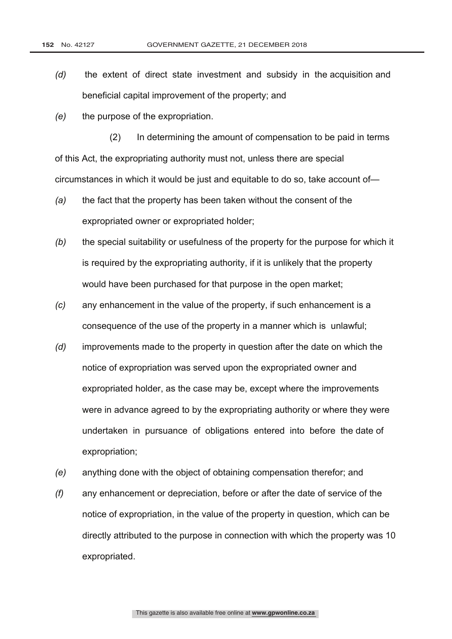- *(d)* the extent of direct state investment and subsidy in the acquisition and beneficial capital improvement of the property; and
- *(e)* the purpose of the expropriation.

 (2) In determining the amount of compensation to be paid in terms of this Act, the expropriating authority must not, unless there are special circumstances in which it would be just and equitable to do so, take account of—

- *(a)* the fact that the property has been taken without the consent of the expropriated owner or expropriated holder;
- *(b)* the special suitability or usefulness of the property for the purpose for which it is required by the expropriating authority, if it is unlikely that the property would have been purchased for that purpose in the open market;
- *(c)* any enhancement in the value of the property, if such enhancement is a consequence of the use of the property in a manner which is unlawful;
- *(d)* improvements made to the property in question after the date on which the notice of expropriation was served upon the expropriated owner and expropriated holder, as the case may be, except where the improvements were in advance agreed to by the expropriating authority or where they were undertaken in pursuance of obligations entered into before the date of expropriation;
- *(e)* anything done with the object of obtaining compensation therefor; and
- *(f)* any enhancement or depreciation, before or after the date of service of the notice of expropriation, in the value of the property in question, which can be directly attributed to the purpose in connection with which the property was 10 expropriated.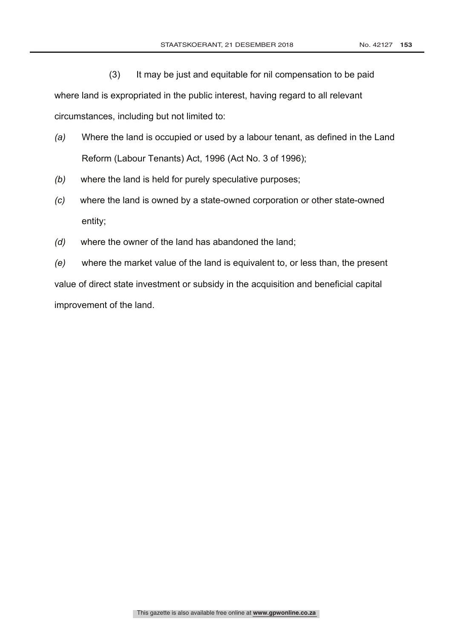(3) It may be just and equitable for nil compensation to be paid

where land is expropriated in the public interest, having regard to all relevant circumstances, including but not limited to:

- *(a)* Where the land is occupied or used by a labour tenant, as defined in the Land Reform (Labour Tenants) Act, 1996 (Act No. 3 of 1996);
- *(b)* where the land is held for purely speculative purposes;
- *(c)* where the land is owned by a state-owned corporation or other state-owned entity;
- *(d)* where the owner of the land has abandoned the land;

*(e)* where the market value of the land is equivalent to, or less than, the present value of direct state investment or subsidy in the acquisition and beneficial capital improvement of the land.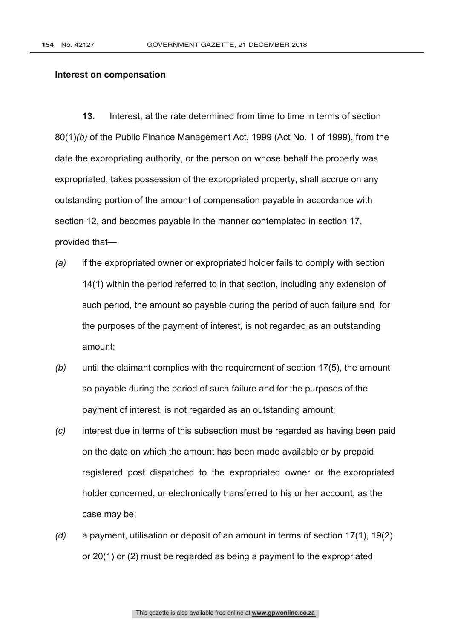#### **Interest on compensation**

**13.** Interest, at the rate determined from time to time in terms of section 80(1)*(b)* of the Public Finance Management Act, 1999 (Act No. 1 of 1999), from the date the expropriating authority, or the person on whose behalf the property was expropriated, takes possession of the expropriated property, shall accrue on any outstanding portion of the amount of compensation payable in accordance with section 12, and becomes payable in the manner contemplated in section 17, provided that—

- *(a)* if the expropriated owner or expropriated holder fails to comply with section 14(1) within the period referred to in that section, including any extension of such period, the amount so payable during the period of such failure and for the purposes of the payment of interest, is not regarded as an outstanding amount;
- *(b)* until the claimant complies with the requirement of section 17(5), the amount so payable during the period of such failure and for the purposes of the payment of interest, is not regarded as an outstanding amount;
- *(c)* interest due in terms of this subsection must be regarded as having been paid on the date on which the amount has been made available or by prepaid registered post dispatched to the expropriated owner or the expropriated holder concerned, or electronically transferred to his or her account, as the case may be;
- *(d)* a payment, utilisation or deposit of an amount in terms of section 17(1), 19(2) or 20(1) or (2) must be regarded as being a payment to the expropriated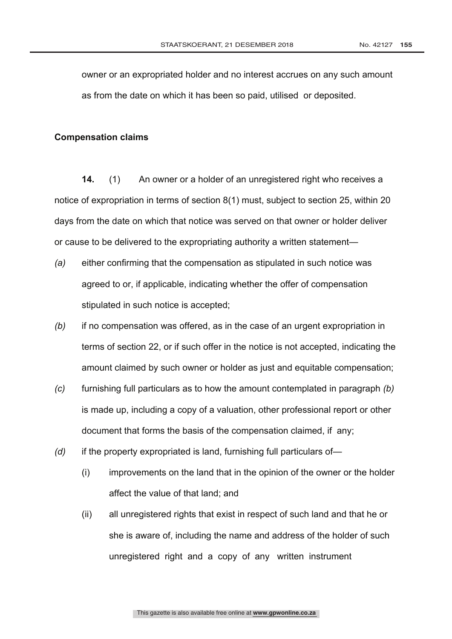owner or an expropriated holder and no interest accrues on any such amount as from the date on which it has been so paid, utilised or deposited.

#### **Compensation claims**

**14.** (1) An owner or a holder of an unregistered right who receives a notice of expropriation in terms of section 8(1) must, subject to section 25, within 20 days from the date on which that notice was served on that owner or holder deliver or cause to be delivered to the expropriating authority a written statement—

- *(a)* either confirming that the compensation as stipulated in such notice was agreed to or, if applicable, indicating whether the offer of compensation stipulated in such notice is accepted;
- *(b)* if no compensation was offered, as in the case of an urgent expropriation in terms of section 22, or if such offer in the notice is not accepted, indicating the amount claimed by such owner or holder as just and equitable compensation;
- *(c)* furnishing full particulars as to how the amount contemplated in paragraph *(b)* is made up, including a copy of a valuation, other professional report or other document that forms the basis of the compensation claimed, if any;
- *(d)* if the property expropriated is land, furnishing full particulars of—
	- (i) improvements on the land that in the opinion of the owner or the holder affect the value of that land; and
	- (ii) all unregistered rights that exist in respect of such land and that he or she is aware of, including the name and address of the holder of such unregistered right and a copy of any written instrument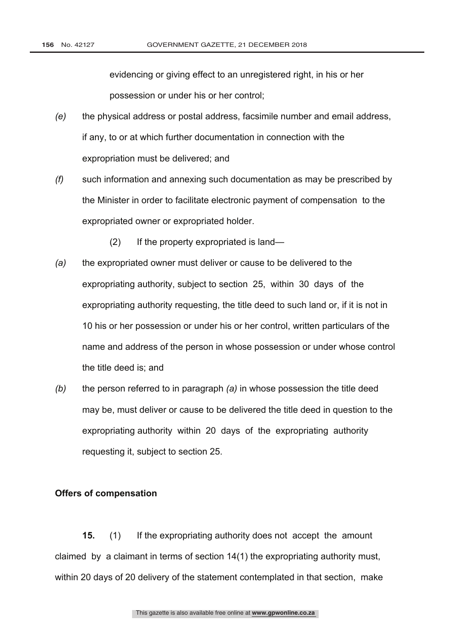evidencing or giving effect to an unregistered right, in his or her possession or under his or her control;

- *(e)* the physical address or postal address, facsimile number and email address, if any, to or at which further documentation in connection with the expropriation must be delivered; and
- *(f)* such information and annexing such documentation as may be prescribed by the Minister in order to facilitate electronic payment of compensation to the expropriated owner or expropriated holder.
	- (2) If the property expropriated is land—
- *(a)* the expropriated owner must deliver or cause to be delivered to the expropriating authority, subject to section 25, within 30 days of the expropriating authority requesting, the title deed to such land or, if it is not in 10 his or her possession or under his or her control, written particulars of the name and address of the person in whose possession or under whose control the title deed is; and
- *(b)* the person referred to in paragraph *(a)* in whose possession the title deed may be, must deliver or cause to be delivered the title deed in question to the expropriating authority within 20 days of the expropriating authority requesting it, subject to section 25.

#### **Offers of compensation**

**15.** (1) If the expropriating authority does not accept the amount claimed by a claimant in terms of section 14(1) the expropriating authority must, within 20 days of 20 delivery of the statement contemplated in that section, make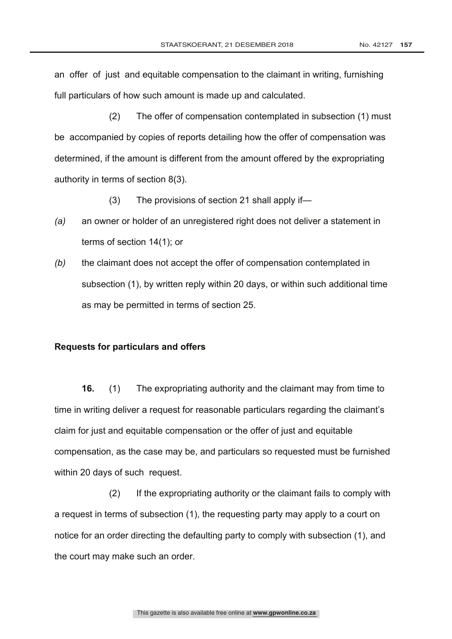an offer of just and equitable compensation to the claimant in writing, furnishing full particulars of how such amount is made up and calculated.

 (2) The offer of compensation contemplated in subsection (1) must be accompanied by copies of reports detailing how the offer of compensation was determined, if the amount is different from the amount offered by the expropriating authority in terms of section 8(3).

- (3) The provisions of section 21 shall apply if—
- *(a)* an owner or holder of an unregistered right does not deliver a statement in terms of section 14(1); or
- *(b)* the claimant does not accept the offer of compensation contemplated in subsection (1), by written reply within 20 days, or within such additional time as may be permitted in terms of section 25.

#### **Requests for particulars and offers**

**16.** (1) The expropriating authority and the claimant may from time to time in writing deliver a request for reasonable particulars regarding the claimant's claim for just and equitable compensation or the offer of just and equitable compensation, as the case may be, and particulars so requested must be furnished within 20 days of such request.

 (2) If the expropriating authority or the claimant fails to comply with a request in terms of subsection (1), the requesting party may apply to a court on notice for an order directing the defaulting party to comply with subsection (1), and the court may make such an order.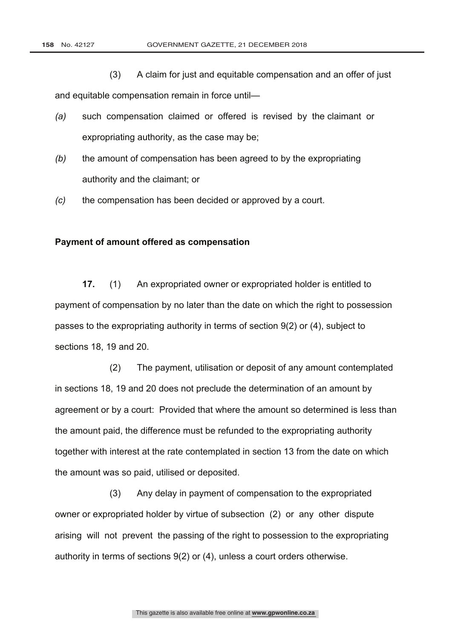(3) A claim for just and equitable compensation and an offer of just

and equitable compensation remain in force until—

- *(a)* such compensation claimed or offered is revised by the claimant or expropriating authority, as the case may be;
- *(b)* the amount of compensation has been agreed to by the expropriating authority and the claimant; or
- *(c)* the compensation has been decided or approved by a court.

#### **Payment of amount offered as compensation**

**17.** (1) An expropriated owner or expropriated holder is entitled to payment of compensation by no later than the date on which the right to possession passes to the expropriating authority in terms of section 9(2) or (4), subject to sections 18, 19 and 20.

 (2) The payment, utilisation or deposit of any amount contemplated in sections 18, 19 and 20 does not preclude the determination of an amount by agreement or by a court: Provided that where the amount so determined is less than the amount paid, the difference must be refunded to the expropriating authority together with interest at the rate contemplated in section 13 from the date on which the amount was so paid, utilised or deposited.

 (3) Any delay in payment of compensation to the expropriated owner or expropriated holder by virtue of subsection (2) or any other dispute arising will not prevent the passing of the right to possession to the expropriating authority in terms of sections 9(2) or (4), unless a court orders otherwise.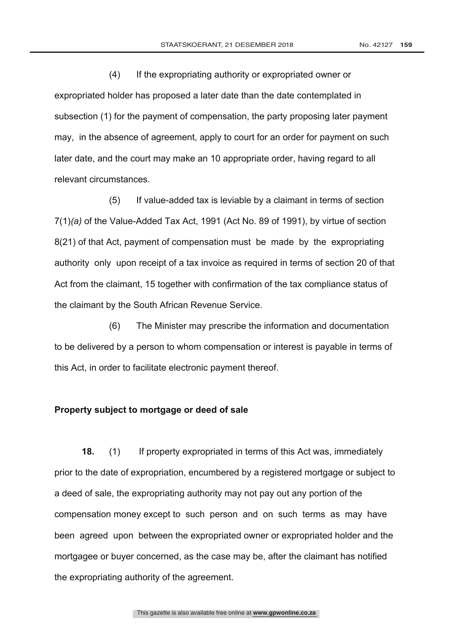(4) If the expropriating authority or expropriated owner or expropriated holder has proposed a later date than the date contemplated in subsection (1) for the payment of compensation, the party proposing later payment may, in the absence of agreement, apply to court for an order for payment on such later date, and the court may make an 10 appropriate order, having regard to all relevant circumstances.

 (5) If value-added tax is leviable by a claimant in terms of section 7(1)*(a)* of the Value-Added Tax Act, 1991 (Act No. 89 of 1991), by virtue of section 8(21) of that Act, payment of compensation must be made by the expropriating authority only upon receipt of a tax invoice as required in terms of section 20 of that Act from the claimant, 15 together with confirmation of the tax compliance status of the claimant by the South African Revenue Service.

 (6) The Minister may prescribe the information and documentation to be delivered by a person to whom compensation or interest is payable in terms of this Act, in order to facilitate electronic payment thereof.

#### **Property subject to mortgage or deed of sale**

**18.** (1) If property expropriated in terms of this Act was, immediately prior to the date of expropriation, encumbered by a registered mortgage or subject to a deed of sale, the expropriating authority may not pay out any portion of the compensation money except to such person and on such terms as may have been agreed upon between the expropriated owner or expropriated holder and the mortgagee or buyer concerned, as the case may be, after the claimant has notified the expropriating authority of the agreement.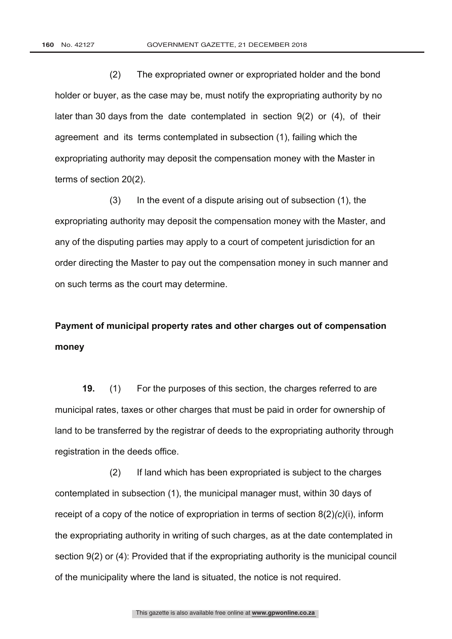(2) The expropriated owner or expropriated holder and the bond holder or buyer, as the case may be, must notify the expropriating authority by no later than 30 days from the date contemplated in section 9(2) or (4), of their agreement and its terms contemplated in subsection (1), failing which the expropriating authority may deposit the compensation money with the Master in terms of section 20(2).

 (3) In the event of a dispute arising out of subsection (1), the expropriating authority may deposit the compensation money with the Master, and any of the disputing parties may apply to a court of competent jurisdiction for an order directing the Master to pay out the compensation money in such manner and on such terms as the court may determine.

## **Payment of municipal property rates and other charges out of compensation money**

**19.** (1) For the purposes of this section, the charges referred to are municipal rates, taxes or other charges that must be paid in order for ownership of land to be transferred by the registrar of deeds to the expropriating authority through registration in the deeds office.

 (2) If land which has been expropriated is subject to the charges contemplated in subsection (1), the municipal manager must, within 30 days of receipt of a copy of the notice of expropriation in terms of section 8(2)*(c)*(i), inform the expropriating authority in writing of such charges, as at the date contemplated in section 9(2) or (4): Provided that if the expropriating authority is the municipal council of the municipality where the land is situated, the notice is not required.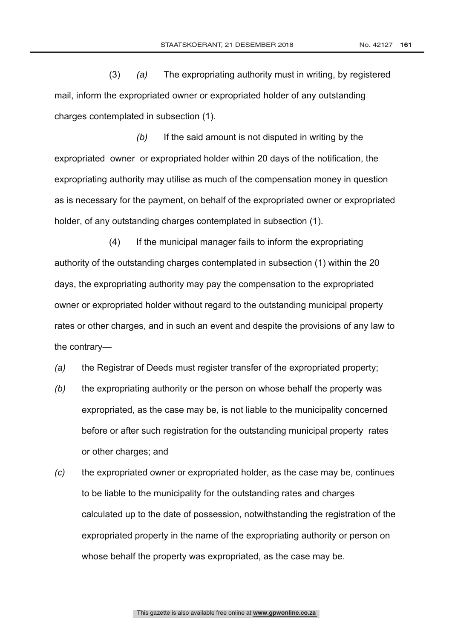(3) *(a)* The expropriating authority must in writing, by registered mail, inform the expropriated owner or expropriated holder of any outstanding charges contemplated in subsection (1).

 *(b)* If the said amount is not disputed in writing by the expropriated owner or expropriated holder within 20 days of the notification, the expropriating authority may utilise as much of the compensation money in question as is necessary for the payment, on behalf of the expropriated owner or expropriated holder, of any outstanding charges contemplated in subsection (1).

 (4) If the municipal manager fails to inform the expropriating authority of the outstanding charges contemplated in subsection (1) within the 20 days, the expropriating authority may pay the compensation to the expropriated owner or expropriated holder without regard to the outstanding municipal property rates or other charges, and in such an event and despite the provisions of any law to the contrary—

- *(a)* the Registrar of Deeds must register transfer of the expropriated property;
- *(b)* the expropriating authority or the person on whose behalf the property was expropriated, as the case may be, is not liable to the municipality concerned before or after such registration for the outstanding municipal property rates or other charges; and
- *(c)* the expropriated owner or expropriated holder, as the case may be, continues to be liable to the municipality for the outstanding rates and charges calculated up to the date of possession, notwithstanding the registration of the expropriated property in the name of the expropriating authority or person on whose behalf the property was expropriated, as the case may be.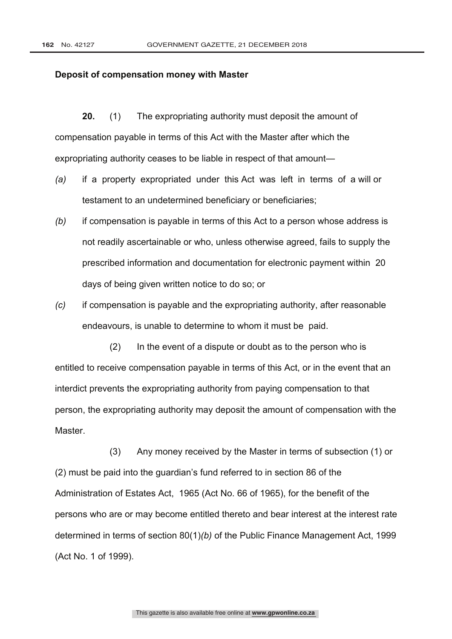#### **Deposit of compensation money with Master**

**20.** (1) The expropriating authority must deposit the amount of compensation payable in terms of this Act with the Master after which the expropriating authority ceases to be liable in respect of that amount—

- *(a)* if a property expropriated under this Act was left in terms of a will or testament to an undetermined beneficiary or beneficiaries;
- *(b)* if compensation is payable in terms of this Act to a person whose address is not readily ascertainable or who, unless otherwise agreed, fails to supply the prescribed information and documentation for electronic payment within 20 days of being given written notice to do so; or
- *(c)* if compensation is payable and the expropriating authority, after reasonable endeavours, is unable to determine to whom it must be paid.

 (2) In the event of a dispute or doubt as to the person who is entitled to receive compensation payable in terms of this Act, or in the event that an interdict prevents the expropriating authority from paying compensation to that person, the expropriating authority may deposit the amount of compensation with the Master.

 (3) Any money received by the Master in terms of subsection (1) or (2) must be paid into the guardian's fund referred to in section 86 of the Administration of Estates Act, 1965 (Act No. 66 of 1965), for the benefit of the persons who are or may become entitled thereto and bear interest at the interest rate determined in terms of section 80(1)*(b)* of the Public Finance Management Act, 1999 (Act No. 1 of 1999).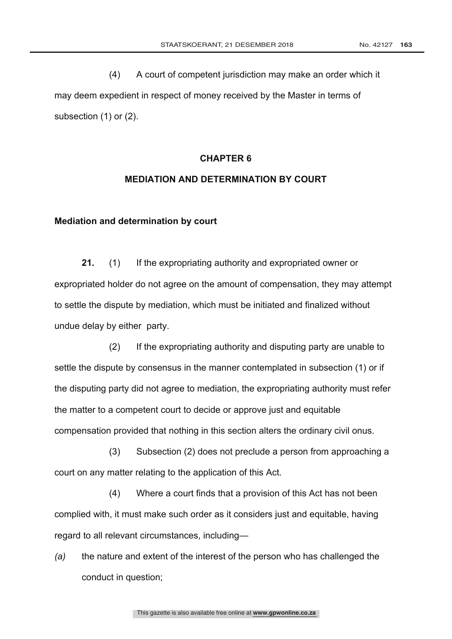(4) A court of competent jurisdiction may make an order which it may deem expedient in respect of money received by the Master in terms of subsection (1) or (2).

#### **CHAPTER 6**

#### **MEDIATION AND DETERMINATION BY COURT**

#### **Mediation and determination by court**

**21.** (1) If the expropriating authority and expropriated owner or expropriated holder do not agree on the amount of compensation, they may attempt to settle the dispute by mediation, which must be initiated and finalized without undue delay by either party.

 (2) If the expropriating authority and disputing party are unable to settle the dispute by consensus in the manner contemplated in subsection (1) or if the disputing party did not agree to mediation, the expropriating authority must refer the matter to a competent court to decide or approve just and equitable compensation provided that nothing in this section alters the ordinary civil onus.

 (3) Subsection (2) does not preclude a person from approaching a court on any matter relating to the application of this Act.

 (4) Where a court finds that a provision of this Act has not been complied with, it must make such order as it considers just and equitable, having regard to all relevant circumstances, including—

*(a)* the nature and extent of the interest of the person who has challenged the conduct in question;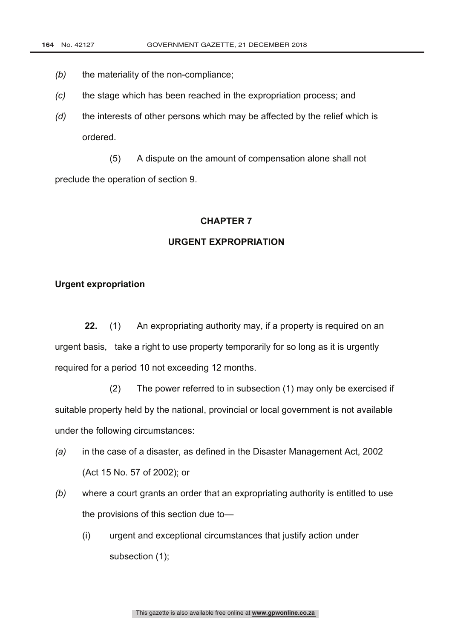- *(b)* the materiality of the non-compliance;
- *(c)* the stage which has been reached in the expropriation process; and
- *(d)* the interests of other persons which may be affected by the relief which is ordered.

 (5) A dispute on the amount of compensation alone shall not preclude the operation of section 9.

#### **CHAPTER 7**

#### **URGENT EXPROPRIATION**

#### **Urgent expropriation**

 **22.** (1) An expropriating authority may, if a property is required on an urgent basis, take a right to use property temporarily for so long as it is urgently required for a period 10 not exceeding 12 months.

 (2) The power referred to in subsection (1) may only be exercised if suitable property held by the national, provincial or local government is not available under the following circumstances:

- *(a)* in the case of a disaster, as defined in the Disaster Management Act, 2002 (Act 15 No. 57 of 2002); or
- *(b)* where a court grants an order that an expropriating authority is entitled to use the provisions of this section due to—
	- (i) urgent and exceptional circumstances that justify action under subsection (1);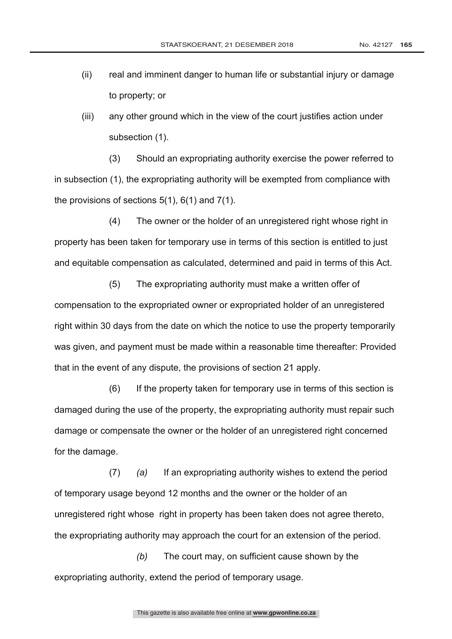- (ii) real and imminent danger to human life or substantial injury or damage to property; or
- (iii) any other ground which in the view of the court justifies action under subsection (1).

 (3) Should an expropriating authority exercise the power referred to in subsection (1), the expropriating authority will be exempted from compliance with the provisions of sections  $5(1)$ ,  $6(1)$  and  $7(1)$ .

 (4) The owner or the holder of an unregistered right whose right in property has been taken for temporary use in terms of this section is entitled to just and equitable compensation as calculated, determined and paid in terms of this Act.

 (5) The expropriating authority must make a written offer of compensation to the expropriated owner or expropriated holder of an unregistered right within 30 days from the date on which the notice to use the property temporarily was given, and payment must be made within a reasonable time thereafter: Provided that in the event of any dispute, the provisions of section 21 apply.

 (6) If the property taken for temporary use in terms of this section is damaged during the use of the property, the expropriating authority must repair such damage or compensate the owner or the holder of an unregistered right concerned for the damage.

 (7) *(a)* If an expropriating authority wishes to extend the period of temporary usage beyond 12 months and the owner or the holder of an unregistered right whose right in property has been taken does not agree thereto, the expropriating authority may approach the court for an extension of the period.

 *(b)* The court may, on sufficient cause shown by the expropriating authority, extend the period of temporary usage.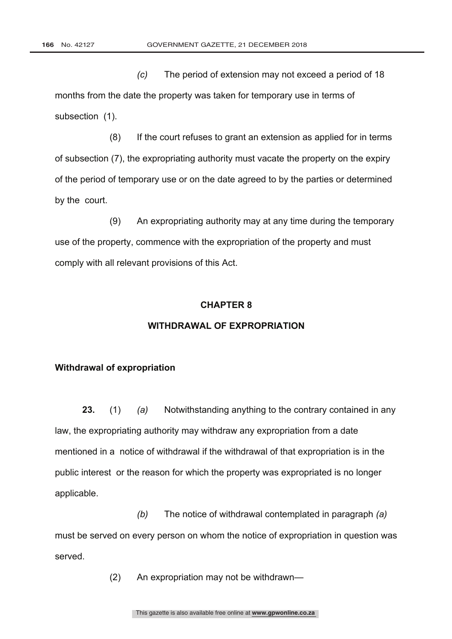*(c)* The period of extension may not exceed a period of 18 months from the date the property was taken for temporary use in terms of subsection (1).

 (8) If the court refuses to grant an extension as applied for in terms of subsection (7), the expropriating authority must vacate the property on the expiry of the period of temporary use or on the date agreed to by the parties or determined by the court.

 (9) An expropriating authority may at any time during the temporary use of the property, commence with the expropriation of the property and must comply with all relevant provisions of this Act.

#### **CHAPTER 8**

#### **WITHDRAWAL OF EXPROPRIATION**

#### **Withdrawal of expropriation**

**23.** (1) *(a)* Notwithstanding anything to the contrary contained in any law, the expropriating authority may withdraw any expropriation from a date mentioned in a notice of withdrawal if the withdrawal of that expropriation is in the public interest or the reason for which the property was expropriated is no longer applicable.

 *(b)* The notice of withdrawal contemplated in paragraph *(a)* must be served on every person on whom the notice of expropriation in question was served.

(2) An expropriation may not be withdrawn—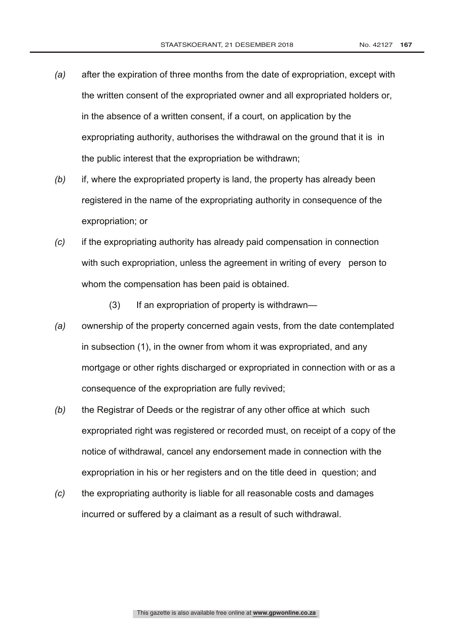- *(a)* after the expiration of three months from the date of expropriation, except with the written consent of the expropriated owner and all expropriated holders or, in the absence of a written consent, if a court, on application by the expropriating authority, authorises the withdrawal on the ground that it is in the public interest that the expropriation be withdrawn;
- *(b)* if, where the expropriated property is land, the property has already been registered in the name of the expropriating authority in consequence of the expropriation; or
- *(c)* if the expropriating authority has already paid compensation in connection with such expropriation, unless the agreement in writing of every person to whom the compensation has been paid is obtained.
	- (3) If an expropriation of property is withdrawn—
- *(a)* ownership of the property concerned again vests, from the date contemplated in subsection (1), in the owner from whom it was expropriated, and any mortgage or other rights discharged or expropriated in connection with or as a consequence of the expropriation are fully revived;
- *(b)* the Registrar of Deeds or the registrar of any other office at which such expropriated right was registered or recorded must, on receipt of a copy of the notice of withdrawal, cancel any endorsement made in connection with the expropriation in his or her registers and on the title deed in question; and
- *(c)* the expropriating authority is liable for all reasonable costs and damages incurred or suffered by a claimant as a result of such withdrawal.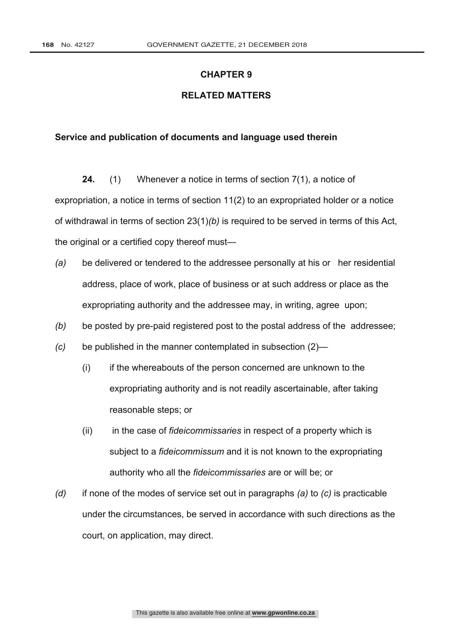#### **CHAPTER 9**

#### **RELATED MATTERS**

#### **Service and publication of documents and language used therein**

**24.** (1) Whenever a notice in terms of section 7(1), a notice of expropriation, a notice in terms of section 11(2) to an expropriated holder or a notice of withdrawal in terms of section 23(1)*(b)* is required to be served in terms of this Act, the original or a certified copy thereof must—

- *(a)* be delivered or tendered to the addressee personally at his or her residential address, place of work, place of business or at such address or place as the expropriating authority and the addressee may, in writing, agree upon;
- *(b)* be posted by pre-paid registered post to the postal address of the addressee;
- *(c)* be published in the manner contemplated in subsection (2)—
	- (i) if the whereabouts of the person concerned are unknown to the expropriating authority and is not readily ascertainable, after taking reasonable steps; or
	- (ii) in the case of *fideicommissaries* in respect of a property which is subject to a *fideicommissum* and it is not known to the expropriating authority who all the *fideicommissaries* are or will be; or
- *(d)* if none of the modes of service set out in paragraphs *(a)* to *(c)* is practicable under the circumstances, be served in accordance with such directions as the court, on application, may direct.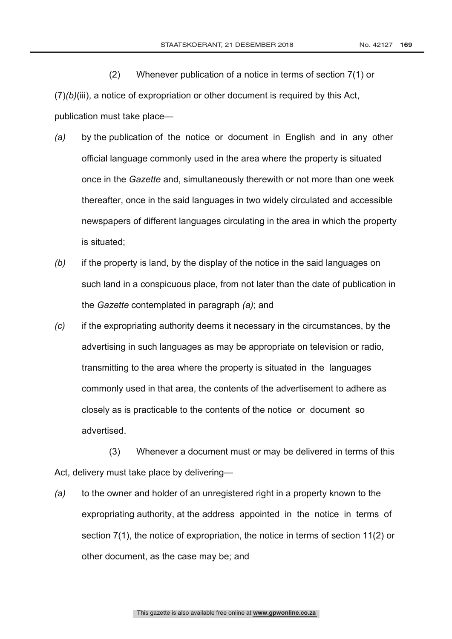(2) Whenever publication of a notice in terms of section 7(1) or (7)*(b)*(iii), a notice of expropriation or other document is required by this Act, publication must take place—

- *(a)* by the publication of the notice or document in English and in any other official language commonly used in the area where the property is situated once in the *Gazette* and, simultaneously therewith or not more than one week thereafter, once in the said languages in two widely circulated and accessible newspapers of different languages circulating in the area in which the property is situated;
- *(b)* if the property is land, by the display of the notice in the said languages on such land in a conspicuous place, from not later than the date of publication in the *Gazette* contemplated in paragraph *(a)*; and
- *(c)* if the expropriating authority deems it necessary in the circumstances, by the advertising in such languages as may be appropriate on television or radio, transmitting to the area where the property is situated in the languages commonly used in that area, the contents of the advertisement to adhere as closely as is practicable to the contents of the notice or document so advertised.

 (3) Whenever a document must or may be delivered in terms of this Act, delivery must take place by delivering—

*(a)* to the owner and holder of an unregistered right in a property known to the expropriating authority, at the address appointed in the notice in terms of section 7(1), the notice of expropriation, the notice in terms of section 11(2) or other document, as the case may be; and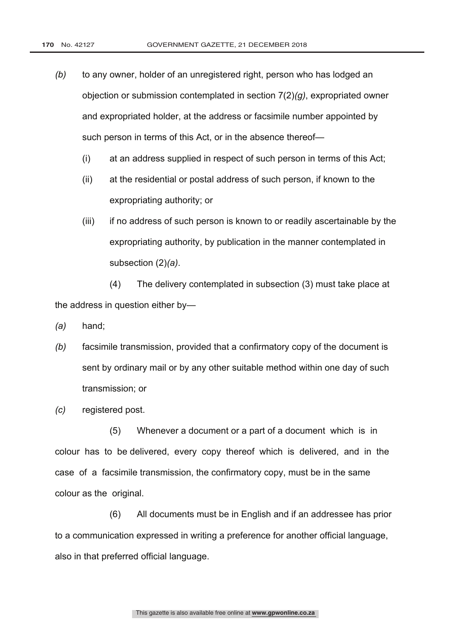- *(b)* to any owner, holder of an unregistered right, person who has lodged an objection or submission contemplated in section 7(2)*(g)*, expropriated owner and expropriated holder, at the address or facsimile number appointed by such person in terms of this Act, or in the absence thereof—
	- (i) at an address supplied in respect of such person in terms of this Act;
	- (ii) at the residential or postal address of such person, if known to the expropriating authority; or
	- (iii) if no address of such person is known to or readily ascertainable by the expropriating authority, by publication in the manner contemplated in subsection (2)*(a)*.

 (4) The delivery contemplated in subsection (3) must take place at the address in question either by—

- *(a)* hand;
- *(b)* facsimile transmission, provided that a confirmatory copy of the document is sent by ordinary mail or by any other suitable method within one day of such transmission; or
- *(c)* registered post.

 (5) Whenever a document or a part of a document which is in colour has to be delivered, every copy thereof which is delivered, and in the case of a facsimile transmission, the confirmatory copy, must be in the same colour as the original.

 (6) All documents must be in English and if an addressee has prior to a communication expressed in writing a preference for another official language, also in that preferred official language.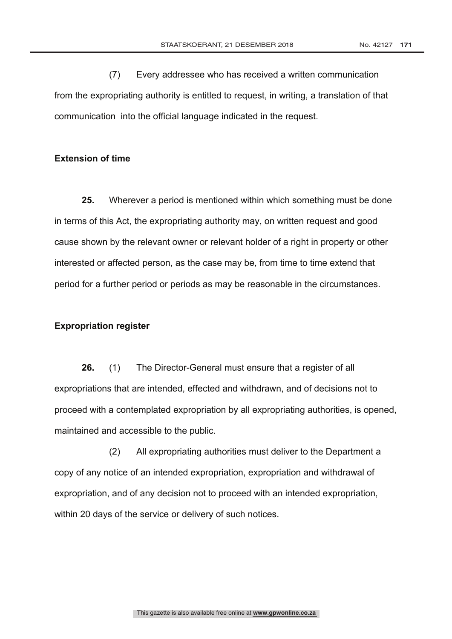(7) Every addressee who has received a written communication from the expropriating authority is entitled to request, in writing, a translation of that communication into the official language indicated in the request.

#### **Extension of time**

**25.** Wherever a period is mentioned within which something must be done in terms of this Act, the expropriating authority may, on written request and good cause shown by the relevant owner or relevant holder of a right in property or other interested or affected person, as the case may be, from time to time extend that period for a further period or periods as may be reasonable in the circumstances.

#### **Expropriation register**

**26.** (1) The Director-General must ensure that a register of all expropriations that are intended, effected and withdrawn, and of decisions not to proceed with a contemplated expropriation by all expropriating authorities, is opened, maintained and accessible to the public.

 (2) All expropriating authorities must deliver to the Department a copy of any notice of an intended expropriation, expropriation and withdrawal of expropriation, and of any decision not to proceed with an intended expropriation, within 20 days of the service or delivery of such notices.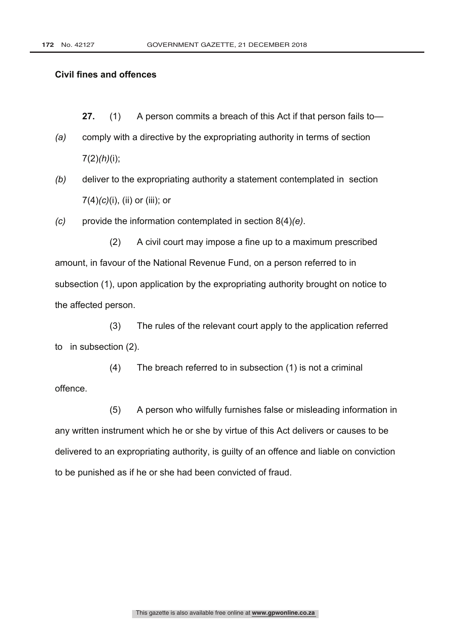#### **Civil fines and offences**

**27.** (1) A person commits a breach of this Act if that person fails to—

- *(a)* comply with a directive by the expropriating authority in terms of section 7(2)*(h)*(i);
- *(b)* deliver to the expropriating authority a statement contemplated in section 7(4)*(c)*(i), (ii) or (iii); or
- *(c)* provide the information contemplated in section 8(4)*(e)*.

 (2) A civil court may impose a fine up to a maximum prescribed amount, in favour of the National Revenue Fund, on a person referred to in subsection (1), upon application by the expropriating authority brought on notice to the affected person.

 (3) The rules of the relevant court apply to the application referred to in subsection (2).

 (4) The breach referred to in subsection (1) is not a criminal offence.

 (5) A person who wilfully furnishes false or misleading information in any written instrument which he or she by virtue of this Act delivers or causes to be delivered to an expropriating authority, is guilty of an offence and liable on conviction to be punished as if he or she had been convicted of fraud.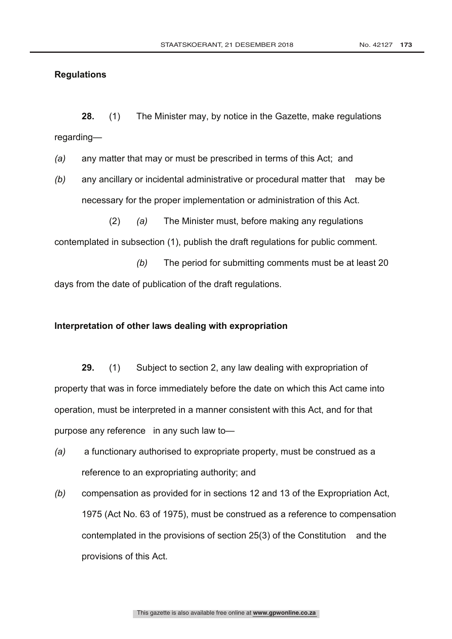#### **Regulations**

**28.** (1) The Minister may, by notice in the Gazette, make regulations regarding—

*(a)* any matter that may or must be prescribed in terms of this Act; and

*(b)* any ancillary or incidental administrative or procedural matter that may be necessary for the proper implementation or administration of this Act.

 (2) *(a)* The Minister must, before making any regulations contemplated in subsection (1), publish the draft regulations for public comment.

 *(b)* The period for submitting comments must be at least 20 days from the date of publication of the draft regulations.

#### **Interpretation of other laws dealing with expropriation**

**29.** (1) Subject to section 2, any law dealing with expropriation of property that was in force immediately before the date on which this Act came into operation, must be interpreted in a manner consistent with this Act, and for that purpose any reference in any such law to—

- *(a)* a functionary authorised to expropriate property, must be construed as a reference to an expropriating authority; and
- *(b)* compensation as provided for in sections 12 and 13 of the Expropriation Act, 1975 (Act No. 63 of 1975), must be construed as a reference to compensation contemplated in the provisions of section 25(3) of the Constitution and the provisions of this Act.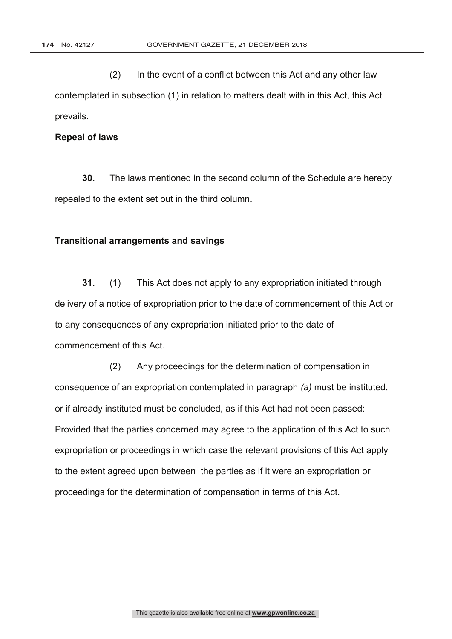(2) In the event of a conflict between this Act and any other law contemplated in subsection (1) in relation to matters dealt with in this Act, this Act prevails.

#### **Repeal of laws**

**30.** The laws mentioned in the second column of the Schedule are hereby repealed to the extent set out in the third column.

#### **Transitional arrangements and savings**

**31.** (1) This Act does not apply to any expropriation initiated through delivery of a notice of expropriation prior to the date of commencement of this Act or to any consequences of any expropriation initiated prior to the date of commencement of this Act.

 (2) Any proceedings for the determination of compensation in consequence of an expropriation contemplated in paragraph *(a)* must be instituted, or if already instituted must be concluded, as if this Act had not been passed: Provided that the parties concerned may agree to the application of this Act to such expropriation or proceedings in which case the relevant provisions of this Act apply to the extent agreed upon between the parties as if it were an expropriation or proceedings for the determination of compensation in terms of this Act.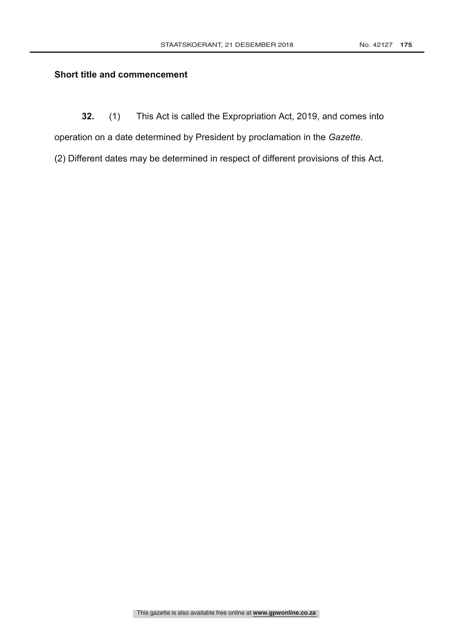#### **Short title and commencement**

**32.** (1) This Act is called the Expropriation Act, 2019, and comes into

operation on a date determined by President by proclamation in the *Gazette*.

(2) Different dates may be determined in respect of different provisions of this Act.